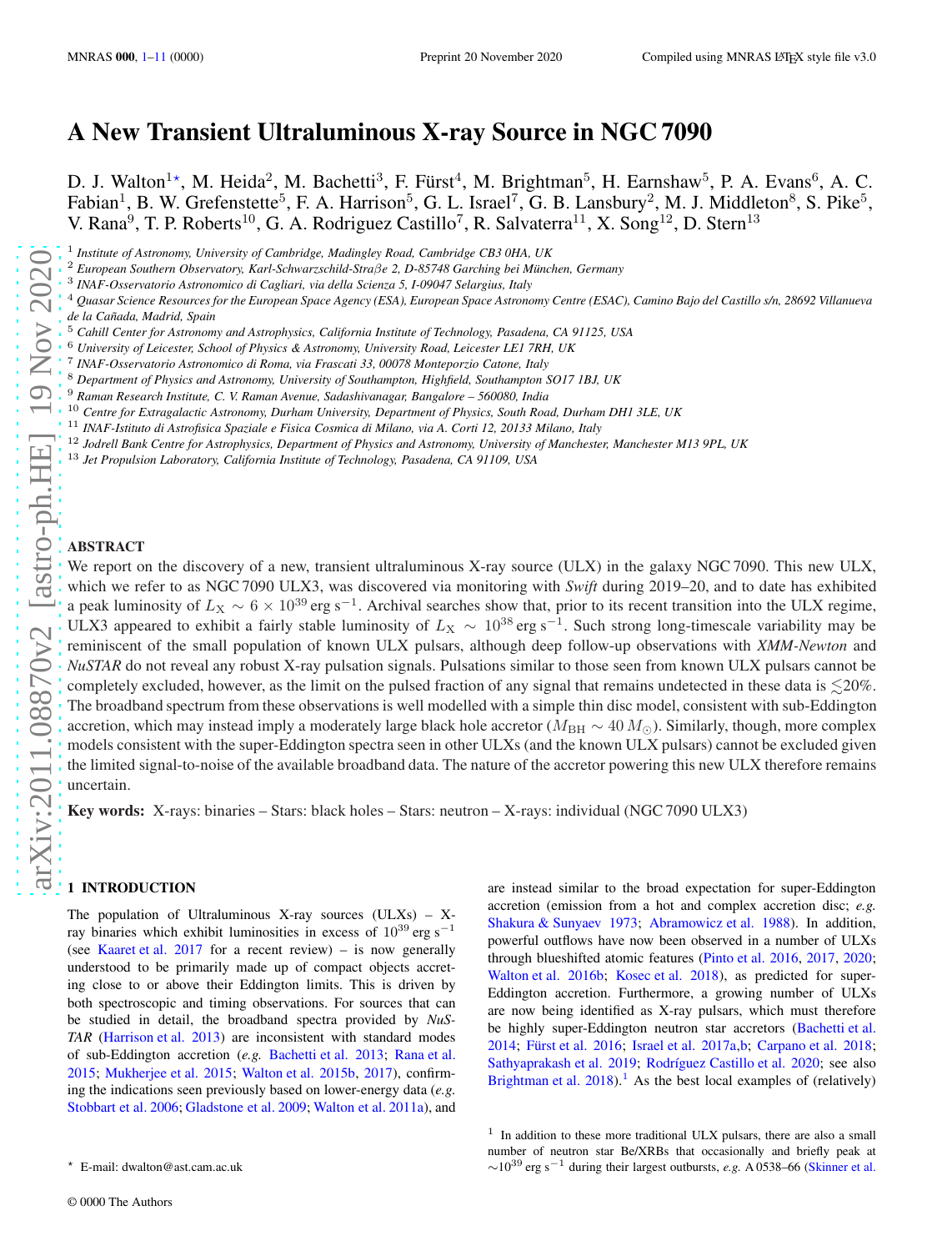# A New Transient Ultraluminous X-ray Source in NGC 7090

D. J. Walton<sup>1\*</sup>, M. Heida<sup>2</sup>, M. Bachetti<sup>3</sup>, F. Fürst<sup>4</sup>, M. Brightman<sup>5</sup>, H. Earnshaw<sup>5</sup>, P. A. Evans<sup>6</sup>, A. C. Fabian<sup>1</sup>, B. W. Grefenstette<sup>5</sup>, F. A. Harrison<sup>5</sup>, G. L. Israel<sup>7</sup>, G. B. Lansbury<sup>2</sup>, M. J. Middleton<sup>8</sup>, S. Pike<sup>5</sup>, V. Rana<sup>9</sup>, T. P. Roberts<sup>10</sup>, G. A. Rodriguez Castillo<sup>7</sup>, R. Salvaterra<sup>11</sup>, X. Song<sup>12</sup>, D. Stern<sup>13</sup>

- <sup>6</sup> *University of Leicester, School of Physics & Astronomy, University Road, Leicester LE1 7RH, UK*
- 7 *INAF-Osservatorio Astronomico di Roma, via Frascati 33, 00078 Monteporzio Catone, Italy*
- <sup>8</sup> *Department of Physics and Astronomy, University of Southampton, Highfield, Southampton SO17 1BJ, UK*
- <sup>9</sup> *Raman Research Institute, C. V. Raman Avenue, Sadashivanagar, Bangalore 560080, India*
- <sup>10</sup> *Centre for Extragalactic Astronomy, Durham University, Department of Physics, South Road, Durham DH1 3LE, UK*
- <sup>11</sup> *INAF-Istituto di Astrofisica Spaziale e Fisica Cosmica di Milano, via A. Corti 12, 20133 Milano, Italy*
- <sup>12</sup> *Jodrell Bank Centre for Astrophysics, Department of Physics and Astronomy, University of Manchester, Manchester M13 9PL, UK*
- <sup>13</sup> *Jet Propulsion Laboratory, California Institute of Technology, Pasadena, CA 91109, USA*

#### ABSTRACT

We report on the discovery of a new, transient ultraluminous X-ray source (ULX) in the galaxy NGC 7090. This new ULX, which we refer to as NGC 7090 ULX3, was discovered via monitoring with *Swift* during 2019–20, and to date has exhibited a peak luminosity of  $L_X \sim 6 \times 10^{39}$  erg s<sup>-1</sup>. Archival searches show that, prior to its recent transition into the ULX regime, ULX3 appeared to exhibit a fairly stable luminosity of  $L_X \sim 10^{38}$  erg s<sup>-1</sup>. Such strong long-timescale variability may be reminiscent of the small population of known ULX pulsars, although deep follow-up observations with *XMM-Newton* and *NuSTAR* do not reveal any robust X-ray pulsation signals. Pulsations similar to those seen from known ULX pulsars cannot be completely excluded, however, as the limit on the pulsed fraction of any signal that remains undetected in these data is  $\leq 20\%$ . The broadband spectrum from these observations is well modelled with a simple thin disc model, consistent with sub-Eddington accretion, which may instead imply a moderately large black hole accretor ( $M_{BH} \sim 40 M_{\odot}$ ). Similarly, though, more complex models consistent with the super-Eddington spectra seen in other ULXs (and the known ULX pulsars) cannot be excluded given the limited signal-to-noise of the available broadband data. The nature of the accretor powering this new ULX therefore remains uncertain.

Key words: X-rays: binaries – Stars: black holes – Stars: neutron – X-rays: individual (NGC 7090 ULX3)

#### <span id="page-0-0"></span>1 INTRODUCTION

The population of Ultraluminous X-ray sources  $(ULXs) - X$ ray binaries which exhibit luminosities in excess of  $10^{39}$  erg s<sup>-1</sup> (see [Kaaret et al. 2017](#page-9-0) for a recent review) – is now generally understood to be primarily made up of compact objects accreting close to or above their Eddington limits. This is driven by both spectroscopic and timing observations. For sources that can be studied in detail, the broadband spectra provided by *NuS-TAR* [\(Harrison et al. 2013\)](#page-9-1) are inconsistent with standard modes of sub-Eddington accretion (*e.g.* [Bachetti et al. 2013](#page-9-2); [Rana et al.](#page-9-3) [2015](#page-9-3); [Mukherjee et al. 2015](#page-9-4); [Walton et al. 2015b](#page-10-0), [2017\)](#page-10-1), confirming the indications seen previously based on lower-energy data (*e.g.* [Stobbart et al. 2006;](#page-10-2) [Gladstone et al. 2009;](#page-9-5) [Walton et al. 2011a](#page-10-3)), and are instead similar to the broad expectation for super-Eddington accretion (emission from a hot and complex accretion disc; *e.g.* [Shakura & Sunyaev 1973](#page-9-6); [Abramowicz et al. 1988](#page-9-7)). In addition, powerful outflows have now been observed in a number of ULXs through blueshifted atomic features [\(Pinto et al. 2016](#page-9-8), [2017](#page-9-9), [2020;](#page-9-10) [Walton et al. 2016b;](#page-10-4) [Kosec et al. 2018\)](#page-9-11), as predicted for super-Eddington accretion. Furthermore, a growing number of ULXs are now being identified as X-ray pulsars, which must therefore be highly super-Eddington neutron star accretors [\(Bachetti et al.](#page-9-12) [2014](#page-9-12); Fürst et al. 2016; [Israel et al. 2017a](#page-9-14)[,b;](#page-9-15) [Carpano et al. 2018;](#page-9-16) [Sathyaprakash et al. 2019](#page-9-17); Rodríguez Castillo et al. 2020; see also Brightman et al.  $2018$  $2018$  $2018$ ).<sup>1</sup> As the best local examples of (relatively)

<sup>1</sup> *Institute of Astronomy, University of Cambridge, Madingley Road, Cambridge CB3 0HA, UK*

<sup>&</sup>lt;sup>2</sup> European Southern Observatory, Karl-Schwarzschild-Straβe 2, D-85748 Garching bei München, Germany

<sup>3</sup> *INAF-Osservatorio Astronomico di Cagliari, via della Scienza 5, I-09047 Selargius, Italy*

<sup>4</sup> *Quasar Science Resources for the European Space Agency (ESA), European Space Astronomy Centre (ESAC), Camino Bajo del Castillo s/n, 28692 Villanueva de la Ca˜nada, Madrid, Spain*

<sup>5</sup> *Cahill Center for Astronomy and Astrophysics, California Institute of Technology, Pasadena, CA 91125, USA*

<sup>⋆</sup> E-mail: dwalton@ast.cam.ac.uk

<span id="page-0-1"></span><sup>&</sup>lt;sup>1</sup> In addition to these more traditional ULX pulsars, there are also a small number of neutron star Be/XRBs that occasionally and briefly peak at  $\sim$ 10<sup>39</sup> erg s<sup>-1</sup> during their largest outbursts, *e.g.* A 0538–66 [\(Skinner et al.](#page-9-20)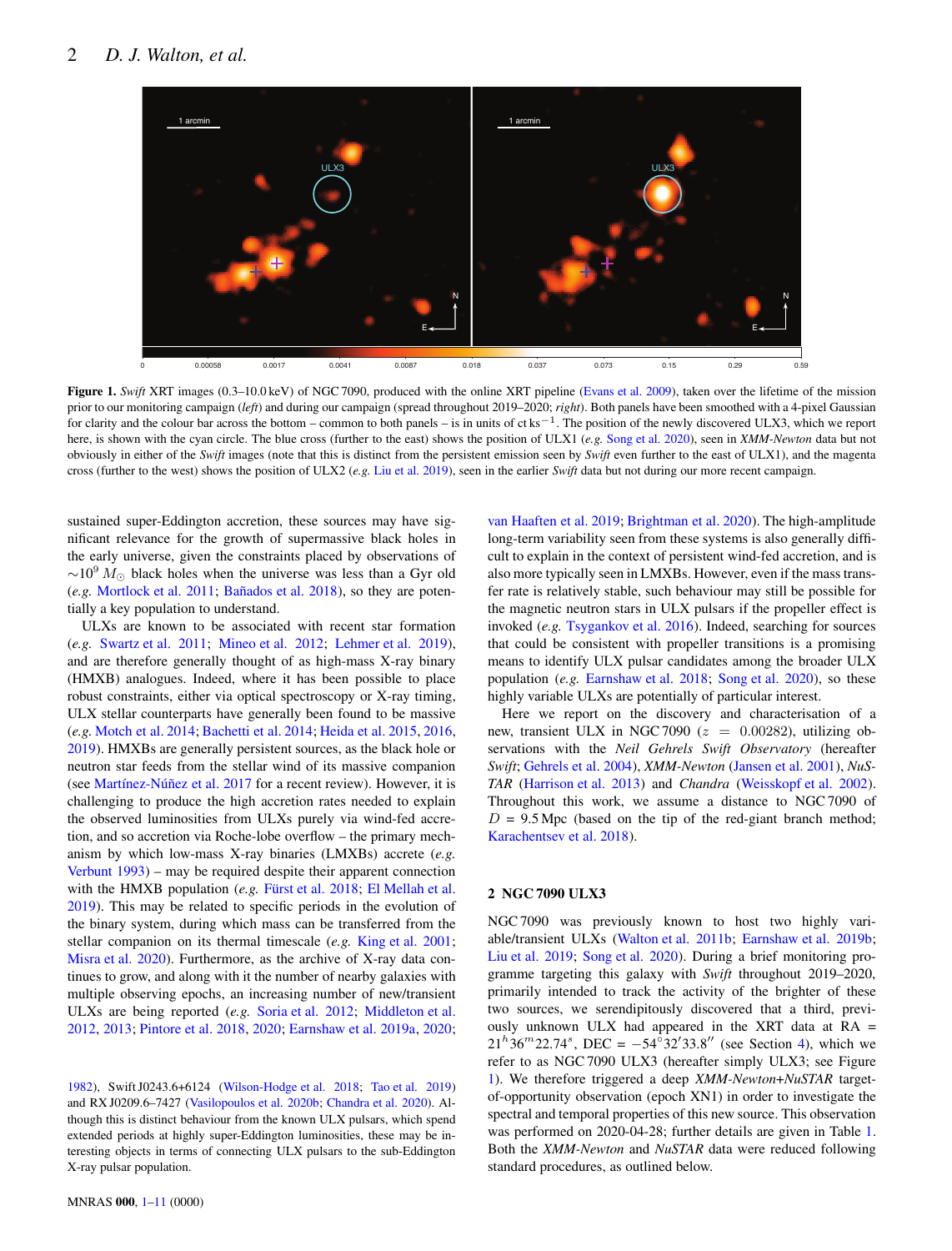# <span id="page-1-0"></span>2 *D. J. Walton, et al.*



Figure 1. *Swift* XRT images (0.3–10.0 keV) of NGC 7090, produced with the online XRT pipeline [\(Evans et al. 2009](#page-9-21)), taken over the lifetime of the mission prior to our monitoring campaign (*left*) and during our campaign (spread throughout 2019–2020; *right*). Both panels have been smoothed with a 4-pixel Gaussian for clarity and the colour bar across the bottom – common to both panels – is in units of  $\text{ct}\,\text{ks}^{-1}$ . The position of the newly discovered ULX3, which we report here, is shown with the cyan circle. The blue cross (further to the east) shows the position of ULX1 (*e.g.* [Song et al. 2020\)](#page-10-5), seen in *XMM-Newton* data but not obviously in either of the *Swift* images (note that this is distinct from the persistent emission seen by *Swift* even further to the east of ULX1), and the magenta cross (further to the west) shows the position of ULX2 (*e.g.* [Liu et al. 2019](#page-9-22)), seen in the earlier *Swift* data but not during our more recent campaign.

sustained super-Eddington accretion, these sources may have significant relevance for the growth of supermassive black holes in the early universe, given the constraints placed by observations of  $\sim$ 10<sup>9</sup> M<sub>☉</sub> black holes when the universe was less than a Gyr old (*e.g.* [Mortlock et al. 2011](#page-9-23); Bañados et al. 2018), so they are potentially a key population to understand.

ULXs are known to be associated with recent star formation (*e.g.* [Swartz et al. 2011](#page-10-6); [Mineo et al. 2012](#page-9-25); [Lehmer et al. 2019\)](#page-9-26), and are therefore generally thought of as high-mass X-ray binary (HMXB) analogues. Indeed, where it has been possible to place robust constraints, either via optical spectroscopy or X-ray timing, ULX stellar counterparts have generally been found to be massive (*e.g.* [Motch et al. 2014](#page-9-27); [Bachetti et al. 2014;](#page-9-12) [Heida et al. 2015](#page-9-28), [2016,](#page-9-29) [2019](#page-9-30)). HMXBs are generally persistent sources, as the black hole or neutron star feeds from the stellar wind of its massive companion (see Martínez-Núñez et al. 2017 for a recent review). However, it is challenging to produce the high accretion rates needed to explain the observed luminosities from ULXs purely via wind-fed accretion, and so accretion via Roche-lobe overflow – the primary mechanism by which low-mass X-ray binaries (LMXBs) accrete (*e.g.* [Verbunt 1993\)](#page-10-7) – may be required despite their apparent connection with the HMXB population (e.g. Fürst et al. 2018; [El Mellah et al.](#page-9-33) [2019](#page-9-33)). This may be related to specific periods in the evolution of the binary system, during which mass can be transferred from the stellar companion on its thermal timescale (*e.g.* [King et al. 2001](#page-9-34); [Misra et al. 2020\)](#page-9-35). Furthermore, as the archive of X-ray data continues to grow, and along with it the number of nearby galaxies with multiple observing epochs, an increasing number of new/transient ULXs are being reported (*e.g.* [Soria et al. 2012](#page-10-8); [Middleton et al.](#page-9-36) [2012](#page-9-36), [2013](#page-9-37); [Pintore et al. 2018](#page-9-38), [2020](#page-9-39); [Earnshaw et al. 2019a](#page-9-40), [2020](#page-9-41);

[1982](#page-9-20)), Swift J0243.6+6124 [\(Wilson-Hodge et al. 2018;](#page-10-9) [Tao et al. 2019](#page-10-10)) and RX J0209.6–7427 [\(Vasilopoulos et al. 2020b;](#page-10-11) [Chandra et al. 2020](#page-9-42)). Although this is distinct behaviour from the known ULX pulsars, which spend extended periods at highly super-Eddington luminosities, these may be interesting objects in terms of connecting ULX pulsars to the sub-Eddington X-ray pulsar population.

[van Haaften et al. 2019;](#page-10-12) [Brightman et al. 2020](#page-9-43)). The high-amplitude long-term variability seen from these systems is also generally difficult to explain in the context of persistent wind-fed accretion, and is also more typically seen in LMXBs. However, even if the mass transfer rate is relatively stable, such behaviour may still be possible for the magnetic neutron stars in ULX pulsars if the propeller effect is invoked (*e.g.* [Tsygankov et al. 2016](#page-10-13)). Indeed, searching for sources that could be consistent with propeller transitions is a promising means to identify ULX pulsar candidates among the broader ULX population (*e.g.* [Earnshaw et al. 2018](#page-9-44); [Song et al. 2020](#page-10-5)), so these highly variable ULXs are potentially of particular interest.

Here we report on the discovery and characterisation of a new, transient ULX in NGC 7090 ( $z = 0.00282$ ), utilizing observations with the *Neil Gehrels Swift Observatory* (hereafter *Swift*; [Gehrels et al. 2004](#page-9-45)), *XMM-Newton* [\(Jansen et al. 2001\)](#page-9-46), *NuS-TAR* [\(Harrison et al. 2013\)](#page-9-1) and *Chandra* [\(Weisskopf et al. 2002](#page-10-14)). Throughout this work, we assume a distance to NGC 7090 of  $D = 9.5$  Mpc (based on the tip of the red-giant branch method; [Karachentsev et al. 2018](#page-9-47)).

# 2 NGC 7090 ULX3

NGC 7090 was previously known to host two highly variable/transient ULXs [\(Walton et al. 2011b](#page-10-15); [Earnshaw et al. 2019b;](#page-9-48) [Liu et al. 2019;](#page-9-22) [Song et al. 2020](#page-10-5)). During a brief monitoring programme targeting this galaxy with *Swift* throughout 2019–2020, primarily intended to track the activity of the brighter of these two sources, we serendipitously discovered that a third, previously unknown ULX had appeared in the XRT data at  $RA =$  $21^{h}36^{m}22.74^{s}$ , DEC =  $-54^{\circ}32'33.8''$  (see Section [4\)](#page-5-0), which we refer to as NGC 7090 ULX3 (hereafter simply ULX3; see Figure [1\)](#page-1-0). We therefore triggered a deep *XMM-Newton*+*NuSTAR* targetof-opportunity observation (epoch XN1) in order to investigate the spectral and temporal properties of this new source. This observation was performed on 2020-04-28; further details are given in Table [1.](#page-2-0) Both the *XMM-Newton* and *NuSTAR* data were reduced following standard procedures, as outlined below.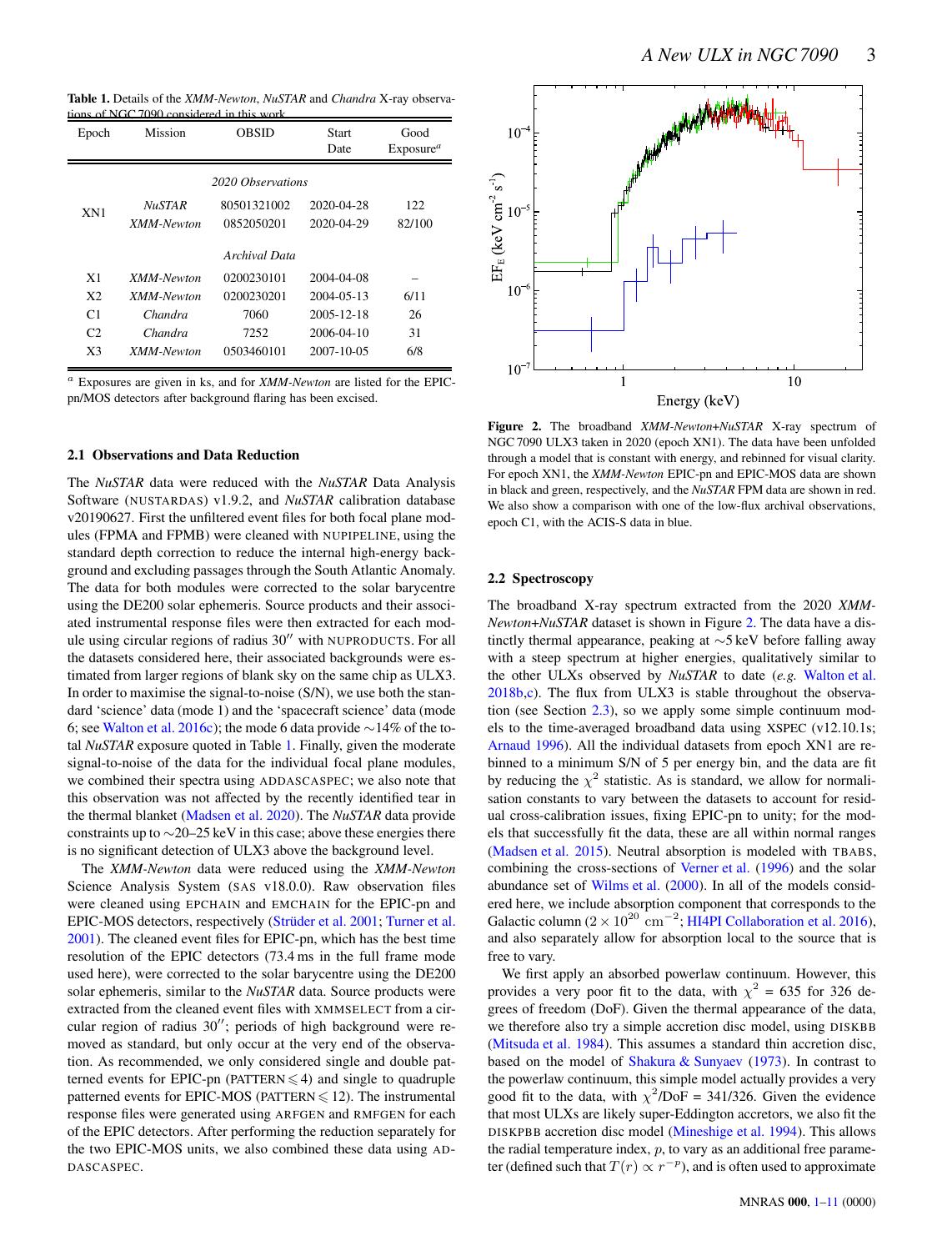<span id="page-2-0"></span>Table 1. Details of the *XMM-Newton*, *NuSTAR* and *Chandra* X-ray observathe NGC 7090 considered in this work.

| Epoch             | Mission       | OBSID         | <b>Start</b><br>Date | Good<br>Exposure <sup>a</sup> |  |  |  |
|-------------------|---------------|---------------|----------------------|-------------------------------|--|--|--|
| 2020 Observations |               |               |                      |                               |  |  |  |
| XN1               | <b>NuSTAR</b> | 80501321002   | 2020-04-28           | 122                           |  |  |  |
|                   | XMM-Newton    | 0852050201    | 2020-04-29           | 82/100                        |  |  |  |
|                   |               | Archival Data |                      |                               |  |  |  |
| X1                | XMM-Newton    | 0200230101    | 2004-04-08           |                               |  |  |  |
| X <sub>2</sub>    | XMM-Newton    | 0200230201    | 2004-05-13           | 6/11                          |  |  |  |
| C <sub>1</sub>    | Chandra       | 7060          | 2005-12-18           | 26                            |  |  |  |
| C <sub>2</sub>    | Chandra       | 7252          | 2006-04-10           | 31                            |  |  |  |
| X3                | XMM-Newton    | 0503460101    | 2007-10-05           | 6/8                           |  |  |  |

<sup>a</sup> Exposures are given in ks, and for *XMM-Newton* are listed for the EPICpn/MOS detectors after background flaring has been excised.

# 2.1 Observations and Data Reduction

The *NuSTAR* data were reduced with the *NuSTAR* Data Analysis Software (NUSTARDAS) v1.9.2, and *NuSTAR* calibration database v20190627. First the unfiltered event files for both focal plane modules (FPMA and FPMB) were cleaned with NUPIPELINE, using the standard depth correction to reduce the internal high-energy background and excluding passages through the South Atlantic Anomaly. The data for both modules were corrected to the solar barycentre using the DE200 solar ephemeris. Source products and their associated instrumental response files were then extracted for each module using circular regions of radius 30′′ with NUPRODUCTS. For all the datasets considered here, their associated backgrounds were estimated from larger regions of blank sky on the same chip as ULX3. In order to maximise the signal-to-noise (S/N), we use both the standard 'science' data (mode 1) and the 'spacecraft science' data (mode 6; see [Walton et al. 2016c](#page-10-16)); the mode 6 data provide ∼14% of the total *NuSTAR* exposure quoted in Table [1.](#page-2-0) Finally, given the moderate signal-to-noise of the data for the individual focal plane modules, we combined their spectra using ADDASCASPEC; we also note that this observation was not affected by the recently identified tear in the thermal blanket [\(Madsen et al. 2020](#page-9-49)). The *NuSTAR* data provide constraints up to ∼20–25 keV in this case; above these energies there is no significant detection of ULX3 above the background level.

The *XMM-Newton* data were reduced using the *XMM-Newton* Science Analysis System (SAS v18.0.0). Raw observation files were cleaned using EPCHAIN and EMCHAIN for the EPIC-pn and EPIC-MOS detectors, respectively (Strüder et al. 2001; [Turner et al.](#page-10-18) [2001](#page-10-18)). The cleaned event files for EPIC-pn, which has the best time resolution of the EPIC detectors (73.4 ms in the full frame mode used here), were corrected to the solar barycentre using the DE200 solar ephemeris, similar to the *NuSTAR* data. Source products were extracted from the cleaned event files with XMMSELECT from a circular region of radius 30′′; periods of high background were removed as standard, but only occur at the very end of the observation. As recommended, we only considered single and double patterned events for EPIC-pn (PATTERN  $\leq 4$ ) and single to quadruple patterned events for EPIC-MOS (PATTERN  $\leq$  12). The instrumental response files were generated using ARFGEN and RMFGEN for each of the EPIC detectors. After performing the reduction separately for the two EPIC-MOS units, we also combined these data using AD-DASCASPEC.

<span id="page-2-1"></span>

Figure 2. The broadband *XMM-Newton*+*NuSTAR* X-ray spectrum of NGC 7090 ULX3 taken in 2020 (epoch XN1). The data have been unfolded through a model that is constant with energy, and rebinned for visual clarity. For epoch XN1, the *XMM-Newton* EPIC-pn and EPIC-MOS data are shown in black and green, respectively, and the *NuSTAR* FPM data are shown in red. We also show a comparison with one of the low-flux archival observations, epoch C1, with the ACIS-S data in blue.

#### <span id="page-2-2"></span>2.2 Spectroscopy

The broadband X-ray spectrum extracted from the 2020 *XMM-Newton*+*NuSTAR* dataset is shown in Figure [2.](#page-2-1) The data have a distinctly thermal appearance, peaking at ∼5 keV before falling away with a steep spectrum at higher energies, qualitatively similar to the other ULXs observed by *NuSTAR* to date (*e.g.* [Walton et al.](#page-10-19) [2018b](#page-10-19)[,c\)](#page-10-20). The flux from ULX3 is stable throughout the observation (see Section [2.3\)](#page-3-0), so we apply some simple continuum models to the time-averaged broadband data using XSPEC (v12.10.1s; [Arnaud 1996\)](#page-9-50). All the individual datasets from epoch XN1 are rebinned to a minimum S/N of 5 per energy bin, and the data are fit by reducing the  $\chi^2$  statistic. As is standard, we allow for normalisation constants to vary between the datasets to account for residual cross-calibration issues, fixing EPIC-pn to unity; for the models that successfully fit the data, these are all within normal ranges [\(Madsen et al. 2015](#page-9-51)). Neutral absorption is modeled with TBABS, combining the cross-sections of [Verner et al.](#page-10-21) [\(1996\)](#page-10-21) and the solar abundance set of [Wilms et al.](#page-10-22) [\(2000](#page-10-22)). In all of the models considered here, we include absorption component that corresponds to the Galactic column ( $2 \times 10^{20}$  cm<sup>-2</sup>; [HI4PI Collaboration et al. 2016](#page-9-52)), and also separately allow for absorption local to the source that is free to vary.

We first apply an absorbed powerlaw continuum. However, this provides a very poor fit to the data, with  $\chi^2 = 635$  for 326 degrees of freedom (DoF). Given the thermal appearance of the data, we therefore also try a simple accretion disc model, using DISKBB [\(Mitsuda et al. 1984](#page-9-53)). This assumes a standard thin accretion disc, based on the model of [Shakura & Sunyaev](#page-9-6) [\(1973](#page-9-6)). In contrast to the powerlaw continuum, this simple model actually provides a very good fit to the data, with  $\chi^2/\text{DoF} = 341/326$ . Given the evidence that most ULXs are likely super-Eddington accretors, we also fit the DISKPBB accretion disc model [\(Mineshige et al. 1994\)](#page-9-54). This allows the radial temperature index,  $p$ , to vary as an additional free parameter (defined such that  $T(r) \propto r^{-p}$ ), and is often used to approximate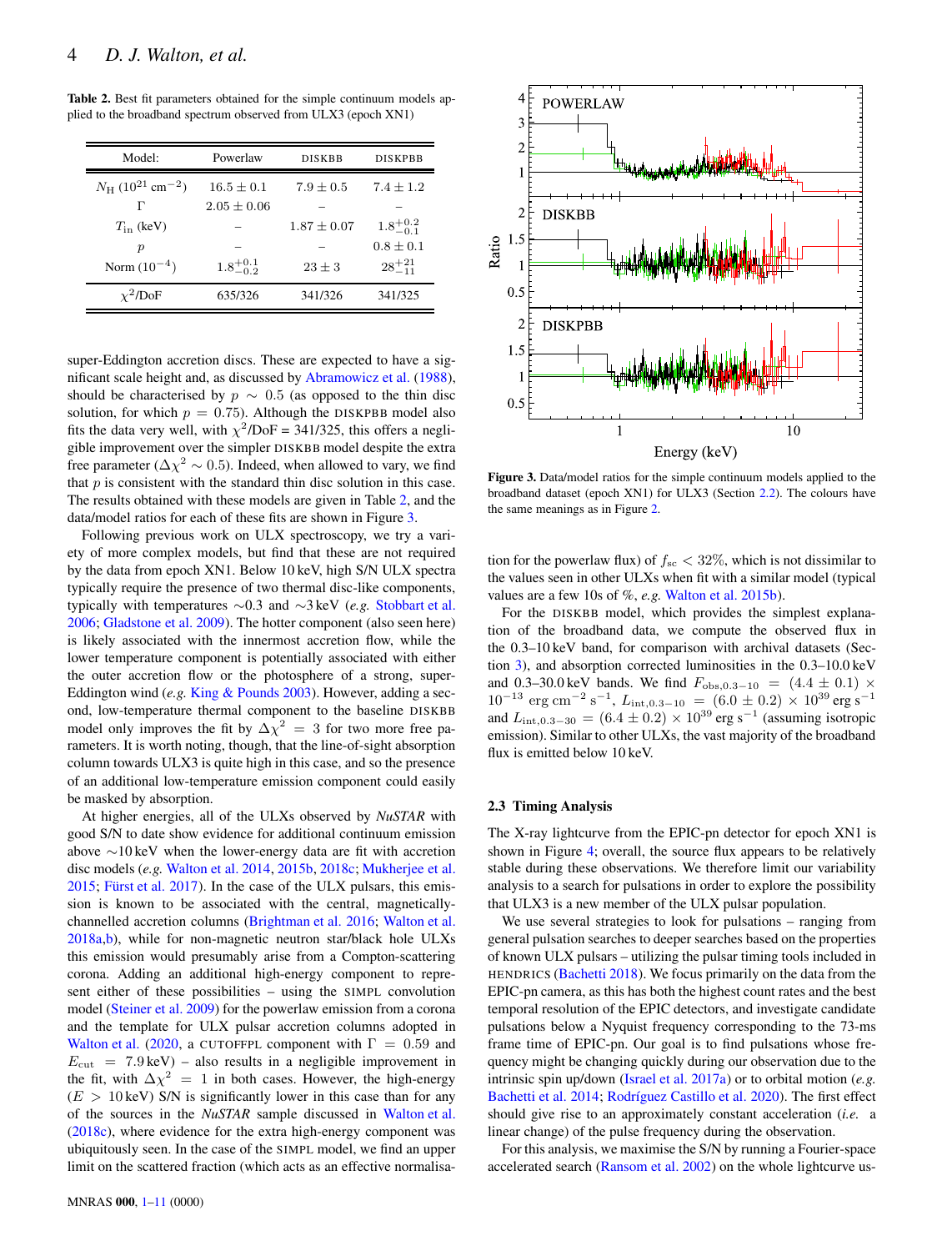<span id="page-3-1"></span>Table 2. Best fit parameters obtained for the simple continuum models applied to the broadband spectrum observed from ULX3 (epoch XN1)

| Model:                                           | Powerlaw            | <b>DISKBB</b>   | <b>DISKPBB</b>      |
|--------------------------------------------------|---------------------|-----------------|---------------------|
| $N_{\rm H}$ (10 <sup>21</sup> cm <sup>-2</sup> ) | $16.5 \pm 0.1$      | $7.9 + 0.5$     | $7.4 + 1.2$         |
| г                                                | $2.05 \pm 0.06$     |                 |                     |
| $T_{\rm in}$ (keV)                               |                     | $1.87 \pm 0.07$ | $1.8^{+0.2}_{-0.1}$ |
| р                                                |                     |                 | $0.8 \pm 0.1$       |
| Norm $(10^{-4})$                                 | $1.8^{+0.1}_{-0.2}$ | $23 \pm 3$      | $28^{+21}_{-11}$    |
| $\chi^2$ /DoF                                    | 635/326             | 341/326         | 341/325             |

super-Eddington accretion discs. These are expected to have a significant scale height and, as discussed by [Abramowicz et al.](#page-9-7) [\(1988\)](#page-9-7), should be characterised by  $p \sim 0.5$  (as opposed to the thin disc solution, for which  $p = 0.75$ ). Although the DISKPBB model also fits the data very well, with  $\chi^2$ /DoF = 341/325, this offers a negligible improvement over the simpler DISKBB model despite the extra free parameter ( $\Delta \chi^2 \sim 0.5$ ). Indeed, when allowed to vary, we find that  $p$  is consistent with the standard thin disc solution in this case. The results obtained with these models are given in Table [2,](#page-3-1) and the data/model ratios for each of these fits are shown in Figure [3.](#page-3-2)

Following previous work on ULX spectroscopy, we try a variety of more complex models, but find that these are not required by the data from epoch XN1. Below 10 keV, high S/N ULX spectra typically require the presence of two thermal disc-like components, typically with temperatures ∼0.3 and ∼3 keV (*e.g.* [Stobbart et al.](#page-10-2) [2006](#page-10-2); [Gladstone et al. 2009\)](#page-9-5). The hotter component (also seen here) is likely associated with the innermost accretion flow, while the lower temperature component is potentially associated with either the outer accretion flow or the photosphere of a strong, super-Eddington wind (*e.g.* [King & Pounds 2003\)](#page-9-55). However, adding a second, low-temperature thermal component to the baseline DISKBB model only improves the fit by  $\Delta\chi^2 = 3$  for two more free parameters. It is worth noting, though, that the line-of-sight absorption column towards ULX3 is quite high in this case, and so the presence of an additional low-temperature emission component could easily be masked by absorption.

At higher energies, all of the ULXs observed by *NuSTAR* with good S/N to date show evidence for additional continuum emission above ∼10 keV when the lower-energy data are fit with accretion disc models (*e.g.* [Walton et al. 2014](#page-10-23), [2015b](#page-10-0), [2018c](#page-10-20); [Mukherjee et al.](#page-9-4)  $2015$ ; Fürst et al.  $2017$ ). In the case of the ULX pulsars, this emission is known to be associated with the central, magneticallychannelled accretion columns [\(Brightman et al. 2016](#page-9-57); [Walton et al.](#page-10-24) [2018a](#page-10-24)[,b\)](#page-10-19), while for non-magnetic neutron star/black hole ULXs this emission would presumably arise from a Compton-scattering corona. Adding an additional high-energy component to represent either of these possibilities – using the SIMPL convolution model [\(Steiner et al. 2009](#page-10-25)) for the powerlaw emission from a corona and the template for ULX pulsar accretion columns adopted in [Walton et al.](#page-10-26) [\(2020,](#page-10-26) a CUTOFFPL component with  $\Gamma = 0.59$  and  $E_{\text{cut}} = 7.9 \text{ keV}$  – also results in a negligible improvement in the fit, with  $\Delta \chi^2 = 1$  in both cases. However, the high-energy  $(E > 10 \,\text{keV})$  S/N is significantly lower in this case than for any of the sources in the *NuSTAR* sample discussed in [Walton et al.](#page-10-20) [\(2018c\)](#page-10-20), where evidence for the extra high-energy component was ubiquitously seen. In the case of the SIMPL model, we find an upper limit on the scattered fraction (which acts as an effective normalisa-

<span id="page-3-2"></span>

Figure 3. Data/model ratios for the simple continuum models applied to the broadband dataset (epoch XN1) for ULX3 (Section [2.2\)](#page-2-2). The colours have the same meanings as in Figure [2.](#page-2-1)

tion for the powerlaw flux) of  $f_{\rm sc}$  < 32%, which is not dissimilar to the values seen in other ULXs when fit with a similar model (typical values are a few 10s of %, *e.g.* [Walton et al. 2015b](#page-10-0)).

For the DISKBB model, which provides the simplest explanation of the broadband data, we compute the observed flux in the 0.3–10 keV band, for comparison with archival datasets (Section [3\)](#page-4-0), and absorption corrected luminosities in the 0.3–10.0 keV and 0.3–30.0 keV bands. We find  $F_{\text{obs.0.3-10}} = (4.4 \pm 0.1) \times$  $10^{-13}$  erg cm<sup>-2</sup> s<sup>-1</sup>,  $L_{\text{int},0.3-10}$  =  $(6.0 \pm 0.2) \times 10^{39}$  erg s<sup>-1</sup> and  $L_{\text{int},0.3-30} = (6.4 \pm 0.2) \times 10^{39} \text{ erg s}^{-1}$  (assuming isotropic emission). Similar to other ULXs, the vast majority of the broadband flux is emitted below 10 keV.

#### <span id="page-3-0"></span>2.3 Timing Analysis

The X-ray lightcurve from the EPIC-pn detector for epoch XN1 is shown in Figure [4;](#page-4-1) overall, the source flux appears to be relatively stable during these observations. We therefore limit our variability analysis to a search for pulsations in order to explore the possibility that ULX3 is a new member of the ULX pulsar population.

We use several strategies to look for pulsations – ranging from general pulsation searches to deeper searches based on the properties of known ULX pulsars – utilizing the pulsar timing tools included in HENDRICS [\(Bachetti 2018](#page-9-58)). We focus primarily on the data from the EPIC-pn camera, as this has both the highest count rates and the best temporal resolution of the EPIC detectors, and investigate candidate pulsations below a Nyquist frequency corresponding to the 73-ms frame time of EPIC-pn. Our goal is to find pulsations whose frequency might be changing quickly during our observation due to the intrinsic spin up/down [\(Israel et al. 2017a](#page-9-14)) or to orbital motion (*e.g.* [Bachetti et al. 2014](#page-9-12); Rodríguez Castillo et al. 2020). The first effect should give rise to an approximately constant acceleration (*i.e.* a linear change) of the pulse frequency during the observation.

For this analysis, we maximise the S/N by running a Fourier-space accelerated search [\(Ransom et al. 2002](#page-9-59)) on the whole lightcurve us-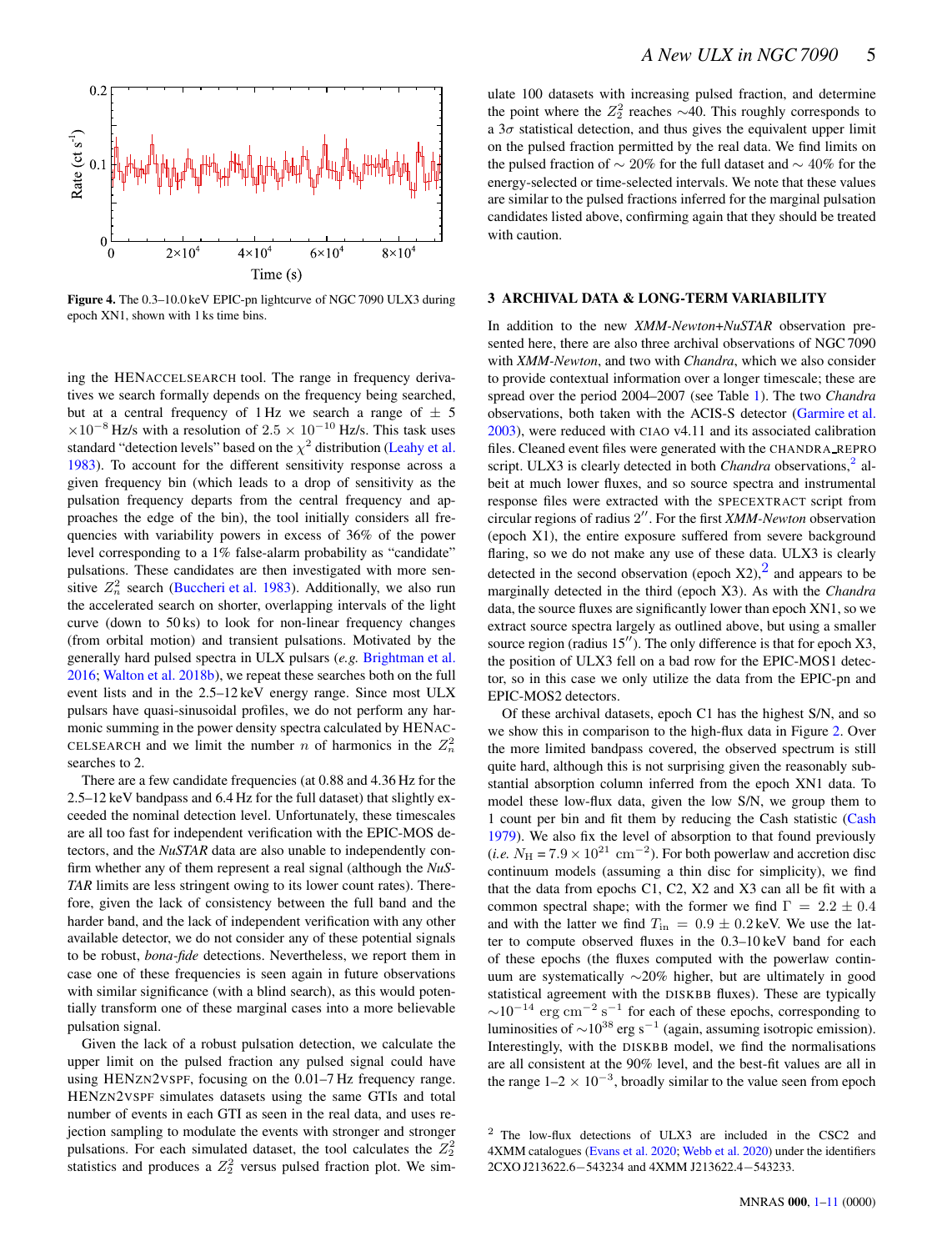<span id="page-4-1"></span>

Figure 4. The 0.3–10.0 keV EPIC-pn lightcurve of NGC 7090 ULX3 during epoch XN1, shown with 1 ks time bins.

ing the HENACCELSEARCH tool. The range in frequency derivatives we search formally depends on the frequency being searched, but at a central frequency of 1 Hz we search a range of  $\pm$  5  $\times10^{-8}$  Hz/s with a resolution of 2.5  $\times$  10<sup>-10</sup> Hz/s. This task uses standard "detection levels" based on the  $\chi^2$  distribution [\(Leahy et al.](#page-9-60) [1983](#page-9-60)). To account for the different sensitivity response across a given frequency bin (which leads to a drop of sensitivity as the pulsation frequency departs from the central frequency and approaches the edge of the bin), the tool initially considers all frequencies with variability powers in excess of 36% of the power level corresponding to a 1% false-alarm probability as "candidate" pulsations. These candidates are then investigated with more sensitive  $Z_n^2$  search [\(Buccheri et al. 1983](#page-9-61)). Additionally, we also run the accelerated search on shorter, overlapping intervals of the light curve (down to 50 ks) to look for non-linear frequency changes (from orbital motion) and transient pulsations. Motivated by the generally hard pulsed spectra in ULX pulsars (*e.g.* [Brightman et al.](#page-9-57) [2016](#page-9-57); [Walton et al. 2018b](#page-10-19)), we repeat these searches both on the full event lists and in the 2.5–12 keV energy range. Since most ULX pulsars have quasi-sinusoidal profiles, we do not perform any harmonic summing in the power density spectra calculated by HENAC-CELSEARCH and we limit the number *n* of harmonics in the  $Z_n^2$ searches to 2.

There are a few candidate frequencies (at 0.88 and 4.36 Hz for the 2.5–12 keV bandpass and 6.4 Hz for the full dataset) that slightly exceeded the nominal detection level. Unfortunately, these timescales are all too fast for independent verification with the EPIC-MOS detectors, and the *NuSTAR* data are also unable to independently confirm whether any of them represent a real signal (although the *NuS-TAR* limits are less stringent owing to its lower count rates). Therefore, given the lack of consistency between the full band and the harder band, and the lack of independent verification with any other available detector, we do not consider any of these potential signals to be robust, *bona-fide* detections. Nevertheless, we report them in case one of these frequencies is seen again in future observations with similar significance (with a blind search), as this would potentially transform one of these marginal cases into a more believable pulsation signal.

Given the lack of a robust pulsation detection, we calculate the upper limit on the pulsed fraction any pulsed signal could have using HENZN2VSPF, focusing on the 0.01–7 Hz frequency range. HENZN2VSPF simulates datasets using the same GTIs and total number of events in each GTI as seen in the real data, and uses rejection sampling to modulate the events with stronger and stronger pulsations. For each simulated dataset, the tool calculates the  $Z_2^2$ statistics and produces a  $Z_2^2$  versus pulsed fraction plot. We simulate 100 datasets with increasing pulsed fraction, and determine the point where the  $Z_2^2$  reaches  $\sim$ 40. This roughly corresponds to a  $3\sigma$  statistical detection, and thus gives the equivalent upper limit on the pulsed fraction permitted by the real data. We find limits on the pulsed fraction of ∼ 20% for the full dataset and ∼ 40% for the energy-selected or time-selected intervals. We note that these values are similar to the pulsed fractions inferred for the marginal pulsation candidates listed above, confirming again that they should be treated with caution.

#### <span id="page-4-0"></span>3 ARCHIVAL DATA & LONG-TERM VARIABILITY

In addition to the new *XMM-Newton*+*NuSTAR* observation presented here, there are also three archival observations of NGC 7090 with *XMM-Newton*, and two with *Chandra*, which we also consider to provide contextual information over a longer timescale; these are spread over the period 2004–2007 (see Table [1\)](#page-2-0). The two *Chandra* observations, both taken with the ACIS-S detector [\(Garmire et al.](#page-9-62) [2003](#page-9-62)), were reduced with CIAO v4.11 and its associated calibration files. Cleaned event files were generated with the CHANDRA REPRO script. ULX3 is clearly detected in both *Chandra* observations,<sup>[2](#page-4-2)</sup> albeit at much lower fluxes, and so source spectra and instrumental response files were extracted with the SPECEXTRACT script from circular regions of radius 2 ′′. For the first *XMM-Newton* observation (epoch X1), the entire exposure suffered from severe background flaring, so we do not make any use of these data. ULX3 is clearly detected in the second observation (epoch  $X2$  $X2$ ),  $\frac{2}{3}$  and appears to be marginally detected in the third (epoch X3). As with the *Chandra* data, the source fluxes are significantly lower than epoch XN1, so we extract source spectra largely as outlined above, but using a smaller source region (radius 15"). The only difference is that for epoch X3, the position of ULX3 fell on a bad row for the EPIC-MOS1 detector, so in this case we only utilize the data from the EPIC-pn and EPIC-MOS2 detectors.

Of these archival datasets, epoch C1 has the highest S/N, and so we show this in comparison to the high-flux data in Figure [2.](#page-2-1) Over the more limited bandpass covered, the observed spectrum is still quite hard, although this is not surprising given the reasonably substantial absorption column inferred from the epoch XN1 data. To model these low-flux data, given the low S/N, we group them to 1 count per bin and fit them by reducing the Cash statistic [\(Cash](#page-9-63) [1979](#page-9-63)). We also fix the level of absorption to that found previously  $(i.e. N<sub>H</sub> = 7.9 \times 10<sup>21</sup>$  cm<sup>-2</sup>). For both powerlaw and accretion disc continuum models (assuming a thin disc for simplicity), we find that the data from epochs C1, C2, X2 and X3 can all be fit with a common spectral shape; with the former we find  $\Gamma = 2.2 \pm 0.4$ and with the latter we find  $T_{\text{in}} = 0.9 \pm 0.2 \text{ keV}$ . We use the latter to compute observed fluxes in the 0.3–10 keV band for each of these epochs (the fluxes computed with the powerlaw continuum are systematically ∼20% higher, but are ultimately in good statistical agreement with the DISKBB fluxes). These are typically  $\sim$ 10<sup>-14</sup> erg cm<sup>-2</sup> s<sup>-1</sup> for each of these epochs, corresponding to luminosities of  $\sim$ 10<sup>38</sup> erg s<sup>-1</sup> (again, assuming isotropic emission). Interestingly, with the DISKBB model, we find the normalisations are all consistent at the 90% level, and the best-fit values are all in the range  $1-2 \times 10^{-3}$ , broadly similar to the value seen from epoch

<span id="page-4-2"></span><sup>2</sup> The low-flux detections of ULX3 are included in the CSC2 and 4XMM catalogues [\(Evans et al. 2020](#page-9-64); [Webb et al. 2020\)](#page-10-27) under the identifiers 2CXO J213622.6−543234 and 4XMM J213622.4−543233.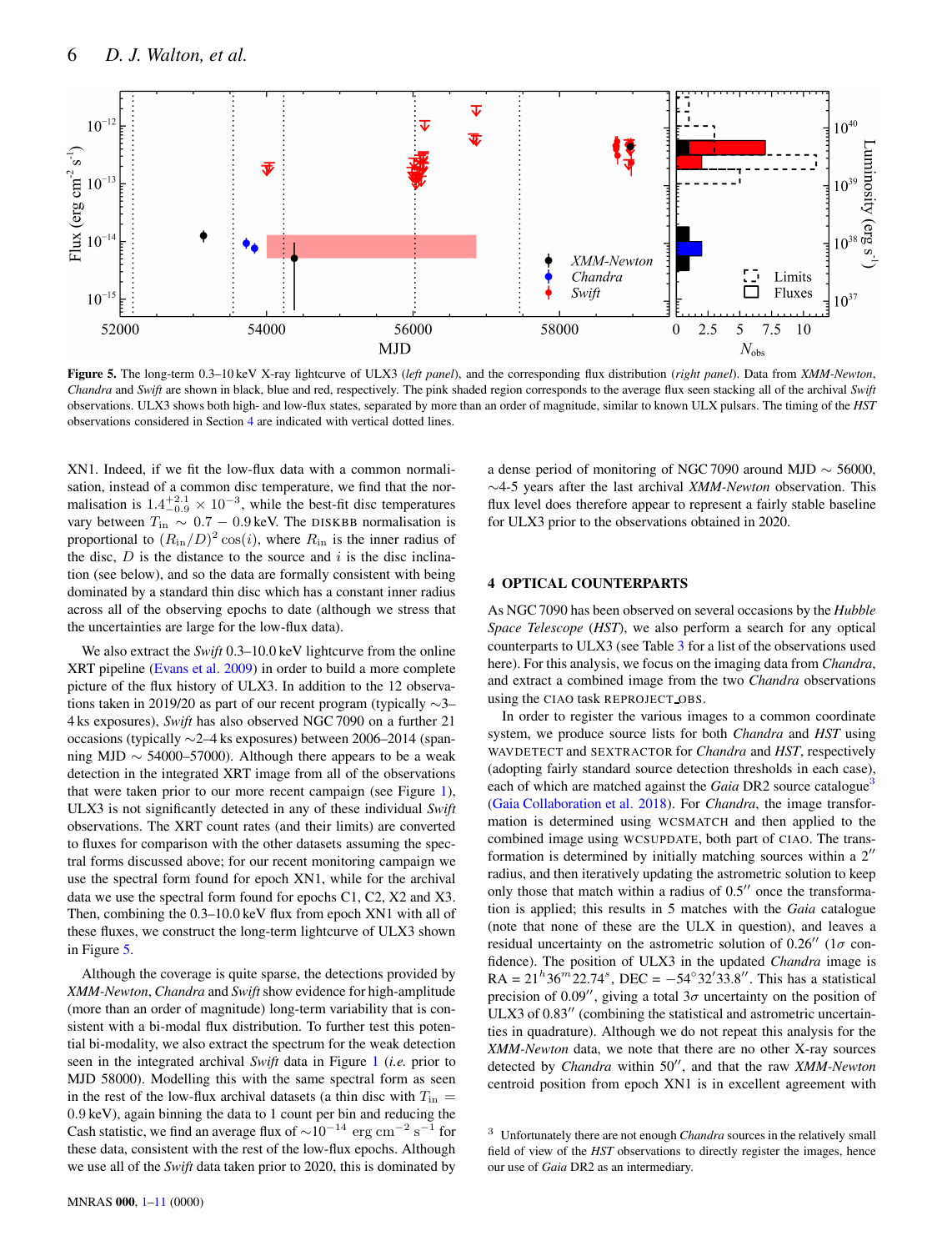<span id="page-5-1"></span>

Figure 5. The long-term 0.3–10 keV X-ray lightcurve of ULX3 (*left panel*), and the corresponding flux distribution (*right panel*). Data from *XMM-Newton*, *Chandra* and *Swift* are shown in black, blue and red, respectively. The pink shaded region corresponds to the average flux seen stacking all of the archival *Swift* observations. ULX3 shows both high- and low-flux states, separated by more than an order of magnitude, similar to known ULX pulsars. The timing of the *HST* observations considered in Section [4](#page-5-0) are indicated with vertical dotted lines.

XN1. Indeed, if we fit the low-flux data with a common normalisation, instead of a common disc temperature, we find that the normalisation is  $1.4^{+2.1}_{-0.9} \times 10^{-3}$ , while the best-fit disc temperatures vary between  $T_{\text{in}} \sim 0.7 - 0.9 \text{ keV}$ . The DISKBB normalisation is proportional to  $(R_{\text{in}}/D)^2 \cos(i)$ , where  $R_{\text{in}}$  is the inner radius of the disc,  $D$  is the distance to the source and i is the disc inclination (see below), and so the data are formally consistent with being dominated by a standard thin disc which has a constant inner radius across all of the observing epochs to date (although we stress that the uncertainties are large for the low-flux data).

We also extract the *Swift* 0.3–10.0 keV lightcurve from the online XRT pipeline [\(Evans et al. 2009](#page-9-21)) in order to build a more complete picture of the flux history of ULX3. In addition to the 12 observations taken in 2019/20 as part of our recent program (typically ∼3– 4 ks exposures), *Swift* has also observed NGC 7090 on a further 21 occasions (typically ∼2–4 ks exposures) between 2006–2014 (spanning MJD  $\sim$  54000–57000). Although there appears to be a weak detection in the integrated XRT image from all of the observations that were taken prior to our more recent campaign (see Figure [1\)](#page-1-0), ULX3 is not significantly detected in any of these individual *Swift* observations. The XRT count rates (and their limits) are converted to fluxes for comparison with the other datasets assuming the spectral forms discussed above; for our recent monitoring campaign we use the spectral form found for epoch XN1, while for the archival data we use the spectral form found for epochs C1, C2, X2 and X3. Then, combining the 0.3–10.0 keV flux from epoch XN1 with all of these fluxes, we construct the long-term lightcurve of ULX3 shown in Figure [5.](#page-5-1)

Although the coverage is quite sparse, the detections provided by *XMM-Newton*, *Chandra* and *Swift*show evidence for high-amplitude (more than an order of magnitude) long-term variability that is consistent with a bi-modal flux distribution. To further test this potential bi-modality, we also extract the spectrum for the weak detection seen in the integrated archival *Swift* data in Figure [1](#page-1-0) (*i.e.* prior to MJD 58000). Modelling this with the same spectral form as seen in the rest of the low-flux archival datasets (a thin disc with  $T_{\text{in}} =$ 0.9 keV), again binning the data to 1 count per bin and reducing the Cash statistic, we find an average flux of  $\sim 10^{-14}$  erg cm<sup>-2</sup> s<sup>-1</sup> for these data, consistent with the rest of the low-flux epochs. Although we use all of the *Swift* data taken prior to 2020, this is dominated by a dense period of monitoring of NGC 7090 around MJD  $\sim$  56000, ∼4-5 years after the last archival *XMM-Newton* observation. This flux level does therefore appear to represent a fairly stable baseline for ULX3 prior to the observations obtained in 2020.

# <span id="page-5-0"></span>4 OPTICAL COUNTERPARTS

As NGC 7090 has been observed on several occasions by the *Hubble Space Telescope* (*HST*), we also perform a search for any optical counterparts to ULX3 (see Table [3](#page-6-0) for a list of the observations used here). For this analysis, we focus on the imaging data from *Chandra*, and extract a combined image from the two *Chandra* observations using the CIAO task REPROJECT OBS.

In order to register the various images to a common coordinate system, we produce source lists for both *Chandra* and *HST* using WAVDETECT and SEXTRACTOR for *Chandra* and *HST*, respectively (adopting fairly standard source detection thresholds in each case), each of which are matched against the *Gaia* DR2 source catalogue<sup>[3](#page-5-2)</sup> [\(Gaia Collaboration et al. 2018](#page-9-65)). For *Chandra*, the image transformation is determined using WCSMATCH and then applied to the combined image using WCSUPDATE, both part of CIAO. The transformation is determined by initially matching sources within a 2′′ radius, and then iteratively updating the astrometric solution to keep only those that match within a radius of 0.5′′ once the transformation is applied; this results in 5 matches with the *Gaia* catalogue (note that none of these are the ULX in question), and leaves a residual uncertainty on the astrometric solution of 0.26 $^{\prime\prime}$  (1 $\sigma$  confidence). The position of ULX3 in the updated *Chandra* image is  $RA = 21<sup>h</sup>36<sup>m</sup>22.74<sup>s</sup>$ ,  $DEC = -54°32'33.8''$ . This has a statistical precision of 0.09'', giving a total  $3\sigma$  uncertainty on the position of ULX3 of  $0.83''$  (combining the statistical and astrometric uncertainties in quadrature). Although we do not repeat this analysis for the *XMM-Newton* data, we note that there are no other X-ray sources detected by *Chandra* within 50′′, and that the raw *XMM-Newton* centroid position from epoch XN1 is in excellent agreement with

<span id="page-5-2"></span><sup>3</sup> Unfortunately there are not enough *Chandra* sources in the relatively small field of view of the *HST* observations to directly register the images, hence our use of *Gaia* DR2 as an intermediary.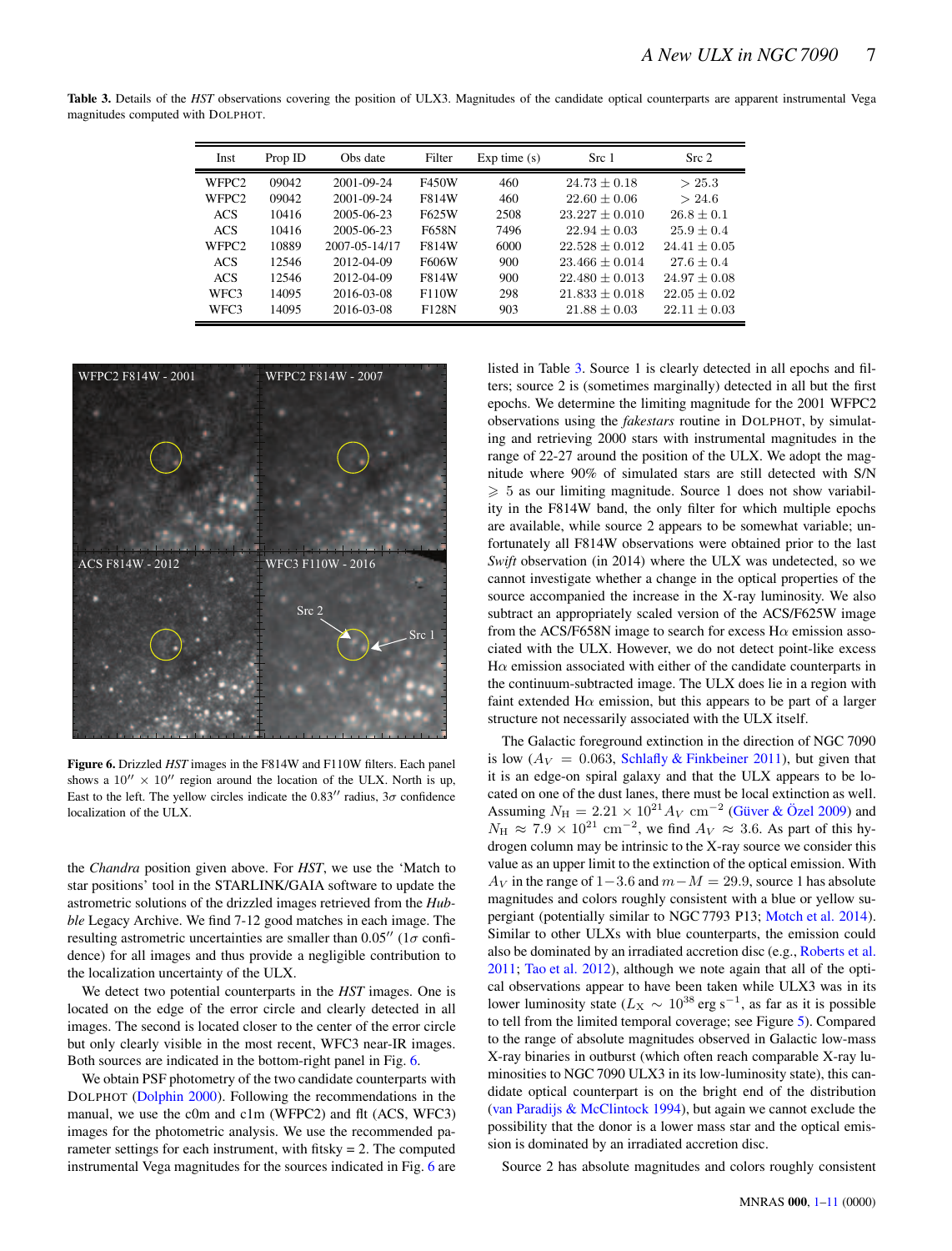<span id="page-6-0"></span>Table 3. Details of the *HST* observations covering the position of ULX3. Magnitudes of the candidate optical counterparts are apparent instrumental Vega magnitudes computed with DOLPHOT.

| Inst              | Prop ID | Obs date      | Filter | Exp time(s) | Src 1              | Src <sub>2</sub> |
|-------------------|---------|---------------|--------|-------------|--------------------|------------------|
| WFPC <sub>2</sub> | 09042   | 2001-09-24    | F450W  | 460         | $24.73 \pm 0.18$   | > 25.3           |
| WFPC <sub>2</sub> | 09042   | 2001-09-24    | F814W  | 460         | $22.60 \pm 0.06$   | > 24.6           |
| <b>ACS</b>        | 10416   | 2005-06-23    | F625W  | 2508        | $23.227 + 0.010$   | $26.8 + 0.1$     |
| <b>ACS</b>        | 10416   | 2005-06-23    | F658N  | 7496        | $22.94 + 0.03$     | $25.9 + 0.4$     |
| WFPC <sub>2</sub> | 10889   | 2007-05-14/17 | F814W  | 6000        | $22.528 + 0.012$   | $24.41 + 0.05$   |
| ACS.              | 12546   | 2012-04-09    | F606W  | 900         | $23.466 + 0.014$   | $27.6 + 0.4$     |
| <b>ACS</b>        | 12546   | 2012-04-09    | F814W  | 900         | $22.480 \pm 0.013$ | $24.97 \pm 0.08$ |
| WFC3              | 14095   | 2016-03-08    | F110W  | 298         | $21.833 + 0.018$   | $22.05 + 0.02$   |
| WFC3              | 14095   | 2016-03-08    | F128N  | 903         | $21.88 + 0.03$     | $22.11 \pm 0.03$ |

<span id="page-6-1"></span>

Figure 6. Drizzled *HST* images in the F814W and F110W filters. Each panel shows a  $10'' \times 10''$  region around the location of the ULX. North is up, East to the left. The yellow circles indicate the  $0.83''$  radius,  $3\sigma$  confidence localization of the ULX.

the *Chandra* position given above. For *HST*, we use the 'Match to star positions' tool in the STARLINK/GAIA software to update the astrometric solutions of the drizzled images retrieved from the *Hubble* Legacy Archive. We find 7-12 good matches in each image. The resulting astrometric uncertainties are smaller than  $0.05''$  (1 $\sigma$  confidence) for all images and thus provide a negligible contribution to the localization uncertainty of the ULX.

We detect two potential counterparts in the *HST* images. One is located on the edge of the error circle and clearly detected in all images. The second is located closer to the center of the error circle but only clearly visible in the most recent, WFC3 near-IR images. Both sources are indicated in the bottom-right panel in Fig. [6.](#page-6-1)

We obtain PSF photometry of the two candidate counterparts with DOLPHOT [\(Dolphin 2000\)](#page-9-66). Following the recommendations in the manual, we use the c0m and c1m (WFPC2) and flt (ACS, WFC3) images for the photometric analysis. We use the recommended parameter settings for each instrument, with fitsky  $= 2$ . The computed instrumental Vega magnitudes for the sources indicated in Fig. [6](#page-6-1) are listed in Table [3.](#page-6-0) Source 1 is clearly detected in all epochs and filters; source 2 is (sometimes marginally) detected in all but the first epochs. We determine the limiting magnitude for the 2001 WFPC2 observations using the *fakestars* routine in DOLPHOT, by simulating and retrieving 2000 stars with instrumental magnitudes in the range of 22-27 around the position of the ULX. We adopt the magnitude where 90% of simulated stars are still detected with S/N  $\geq 5$  as our limiting magnitude. Source 1 does not show variability in the F814W band, the only filter for which multiple epochs are available, while source 2 appears to be somewhat variable; unfortunately all F814W observations were obtained prior to the last *Swift* observation (in 2014) where the ULX was undetected, so we cannot investigate whether a change in the optical properties of the source accompanied the increase in the X-ray luminosity. We also subtract an appropriately scaled version of the ACS/F625W image from the ACS/F658N image to search for excess  $H\alpha$  emission associated with the ULX. However, we do not detect point-like excess  $H\alpha$  emission associated with either of the candidate counterparts in the continuum-subtracted image. The ULX does lie in a region with faint extended H $\alpha$  emission, but this appears to be part of a larger structure not necessarily associated with the ULX itself.

The Galactic foreground extinction in the direction of NGC 7090 is low ( $Av = 0.063$ , [Schlafly & Finkbeiner 2011](#page-9-67)), but given that it is an edge-on spiral galaxy and that the ULX appears to be located on one of the dust lanes, there must be local extinction as well. Assuming  $N_{\rm H} = 2.21 \times 10^{21} A_V \text{ cm}^{-2}$  (Güver & Özel [2009](#page-9-68)) and  $N_{\rm H} \approx 7.9 \times 10^{21}$  cm<sup>-2</sup>, we find  $A_V \approx 3.6$ . As part of this hydrogen column may be intrinsic to the X-ray source we consider this value as an upper limit to the extinction of the optical emission. With  $A_V$  in the range of 1–3.6 and  $m-M = 29.9$ , source 1 has absolute magnitudes and colors roughly consistent with a blue or yellow supergiant (potentially similar to NGC 7793 P13; [Motch et al. 2014](#page-9-27)). Similar to other ULXs with blue counterparts, the emission could also be dominated by an irradiated accretion disc (e.g., [Roberts et al.](#page-9-69) [2011](#page-9-69); [Tao et al. 2012](#page-10-28)), although we note again that all of the optical observations appear to have been taken while ULX3 was in its lower luminosity state ( $L_X \sim 10^{38}$  erg s<sup>-1</sup>, as far as it is possible to tell from the limited temporal coverage; see Figure [5\)](#page-5-1). Compared to the range of absolute magnitudes observed in Galactic low-mass X-ray binaries in outburst (which often reach comparable X-ray luminosities to NGC 7090 ULX3 in its low-luminosity state), this candidate optical counterpart is on the bright end of the distribution [\(van Paradijs & McClintock 1994](#page-10-29)), but again we cannot exclude the possibility that the donor is a lower mass star and the optical emission is dominated by an irradiated accretion disc.

Source 2 has absolute magnitudes and colors roughly consistent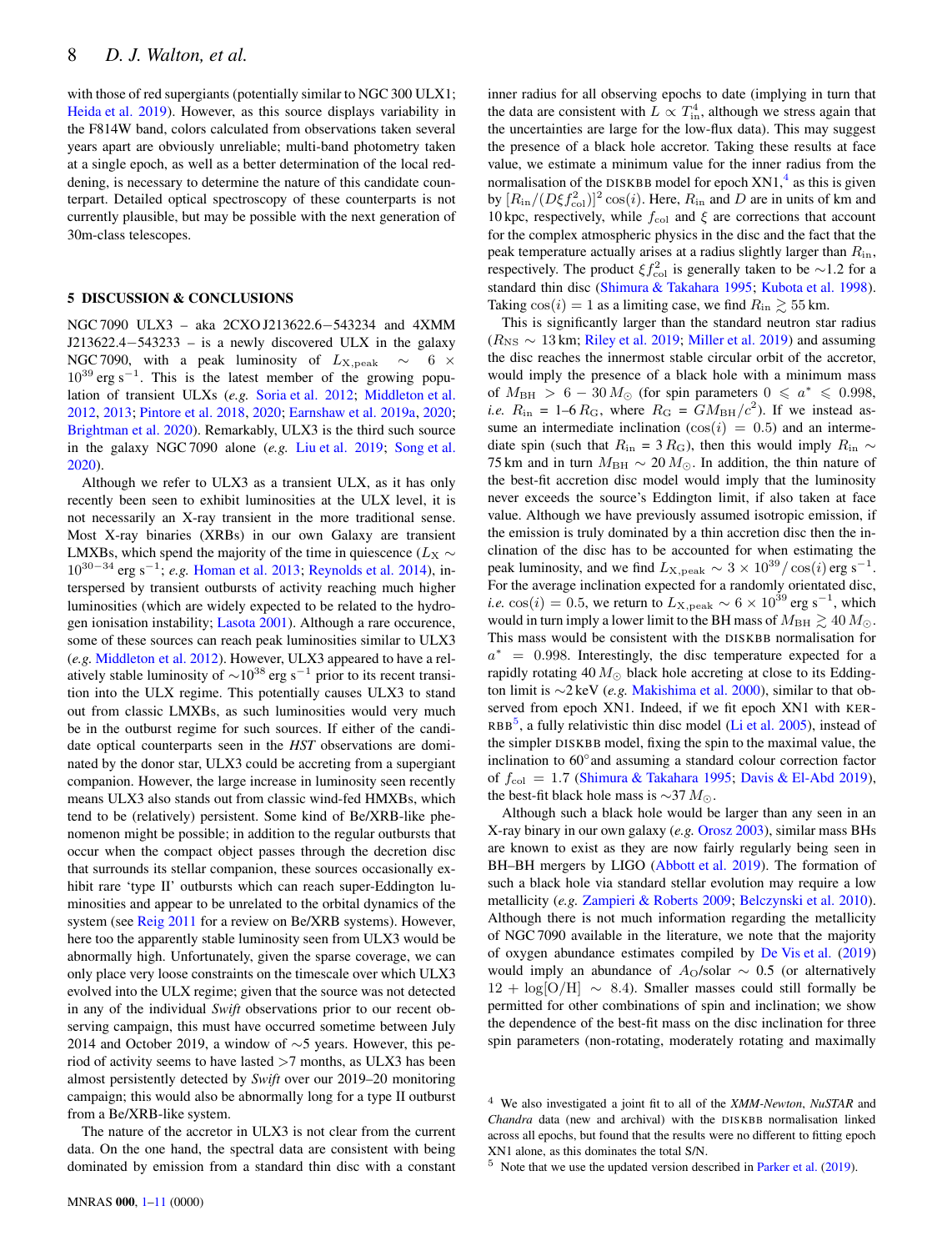with those of red supergiants (potentially similar to NGC 300 ULX1; [Heida et al. 2019](#page-9-30)). However, as this source displays variability in the F814W band, colors calculated from observations taken several years apart are obviously unreliable; multi-band photometry taken at a single epoch, as well as a better determination of the local reddening, is necessary to determine the nature of this candidate counterpart. Detailed optical spectroscopy of these counterparts is not currently plausible, but may be possible with the next generation of 30m-class telescopes.

#### 5 DISCUSSION & CONCLUSIONS

NGC 7090 ULX3 – aka 2CXO J213622.6−543234 and 4XMM J213622.4−543233 – is a newly discovered ULX in the galaxy NGC 7090, with a peak luminosity of  $L_{\text{X,peak}} \sim 6 \times$  $10^{39}$  erg s<sup>-1</sup>. This is the latest member of the growing population of transient ULXs (*e.g.* [Soria et al. 2012](#page-10-8); [Middleton et al.](#page-9-36) [2012](#page-9-36), [2013](#page-9-37); [Pintore et al. 2018](#page-9-38), [2020](#page-9-39); [Earnshaw et al. 2019a](#page-9-40), [2020](#page-9-41); [Brightman et al. 2020](#page-9-43)). Remarkably, ULX3 is the third such source in the galaxy NGC 7090 alone (*e.g.* [Liu et al. 2019](#page-9-22); [Song et al.](#page-10-5) [2020](#page-10-5)).

Although we refer to ULX3 as a transient ULX, as it has only recently been seen to exhibit luminosities at the ULX level, it is not necessarily an X-ray transient in the more traditional sense. Most X-ray binaries (XRBs) in our own Galaxy are transient LMXBs, which spend the majority of the time in quiescence ( $L_X \sim$ 10<sup>30</sup>−<sup>34</sup> erg s<sup>−</sup><sup>1</sup> ; *e.g.* [Homan et al. 2013](#page-9-70); [Reynolds et al. 2014](#page-9-71)), interspersed by transient outbursts of activity reaching much higher luminosities (which are widely expected to be related to the hydrogen ionisation instability; [Lasota 2001](#page-9-72)). Although a rare occurence, some of these sources can reach peak luminosities similar to ULX3 (*e.g.* [Middleton et al. 2012\)](#page-9-36). However, ULX3 appeared to have a relatively stable luminosity of  $\sim$ 10<sup>38</sup> erg s<sup>-1</sup> prior to its recent transition into the ULX regime. This potentially causes ULX3 to stand out from classic LMXBs, as such luminosities would very much be in the outburst regime for such sources. If either of the candidate optical counterparts seen in the *HST* observations are dominated by the donor star, ULX3 could be accreting from a supergiant companion. However, the large increase in luminosity seen recently means ULX3 also stands out from classic wind-fed HMXBs, which tend to be (relatively) persistent. Some kind of Be/XRB-like phenomenon might be possible; in addition to the regular outbursts that occur when the compact object passes through the decretion disc that surrounds its stellar companion, these sources occasionally exhibit rare 'type II' outbursts which can reach super-Eddington luminosities and appear to be unrelated to the orbital dynamics of the system (see [Reig 2011](#page-9-73) for a review on Be/XRB systems). However, here too the apparently stable luminosity seen from ULX3 would be abnormally high. Unfortunately, given the sparse coverage, we can only place very loose constraints on the timescale over which ULX3 evolved into the ULX regime; given that the source was not detected in any of the individual *Swift* observations prior to our recent observing campaign, this must have occurred sometime between July 2014 and October 2019, a window of ∼5 years. However, this period of activity seems to have lasted >7 months, as ULX3 has been almost persistently detected by *Swift* over our 2019–20 monitoring campaign; this would also be abnormally long for a type II outburst from a Be/XRB-like system.

The nature of the accretor in ULX3 is not clear from the current data. On the one hand, the spectral data are consistent with being dominated by emission from a standard thin disc with a constant inner radius for all observing epochs to date (implying in turn that the data are consistent with  $L \propto T_{\text{in}}^4$ , although we stress again that the uncertainties are large for the low-flux data). This may suggest the presence of a black hole accretor. Taking these results at face value, we estimate a minimum value for the inner radius from the normalisation of the DISKBB model for epoch  $XNI$ ,<sup>[4](#page-7-0)</sup> as this is given by  $[R_{\rm in}/(D\xi f_{\rm col}^2)]^2 \cos(i)$ . Here,  $R_{\rm in}$  and D are in units of km and 10 kpc, respectively, while  $f_{\text{col}}$  and  $\xi$  are corrections that account for the complex atmospheric physics in the disc and the fact that the peak temperature actually arises at a radius slightly larger than  $R_{\text{in}}$ , respectively. The product  $\xi f_{\rm col}^2$  is generally taken to be ~1.2 for a standard thin disc [\(Shimura & Takahara 1995;](#page-9-74) [Kubota et al. 1998](#page-9-75)). Taking  $cos(i) = 1$  as a limiting case, we find  $R_{in} \gtrsim 55$  km.

This is significantly larger than the standard neutron star radius ( $R_{\rm NS} \sim 13$  km; [Riley et al. 2019](#page-9-76); [Miller et al. 2019](#page-9-77)) and assuming the disc reaches the innermost stable circular orbit of the accretor, would imply the presence of a black hole with a minimum mass of  $M_{\rm BH} > 6 - 30 M_{\odot}$  (for spin parameters  $0 \le a^* \le 0.998$ , *i.e.*  $R_{\text{in}} = 1-6 R_{\text{G}}$ , where  $R_{\text{G}} = GM_{\text{BH}}/c^2$ . If we instead assume an intermediate inclination  $(\cos(i) = 0.5)$  and an intermediate spin (such that  $R_{\text{in}} = 3 R_{\text{G}}$ ), then this would imply  $R_{\text{in}} \sim$ 75 km and in turn  $M_{\rm BH} \sim 20 M_{\odot}$ . In addition, the thin nature of the best-fit accretion disc model would imply that the luminosity never exceeds the source's Eddington limit, if also taken at face value. Although we have previously assumed isotropic emission, if the emission is truly dominated by a thin accretion disc then the inclination of the disc has to be accounted for when estimating the peak luminosity, and we find  $L_{\rm X,peak} \sim 3 \times 10^{39} / \cos(i)$  erg s<sup>-1</sup>. For the average inclination expected for a randomly orientated disc, *i.e.* cos(*i*) = 0.5, we return to  $L_{\text{X,peak}} \sim 6 \times 10^{39} \text{ erg s}^{-1}$ , which would in turn imply a lower limit to the BH mass of  $M_{\rm BH} \gtrsim 40 M_{\odot}$ . This mass would be consistent with the DISKBB normalisation for  $a^* = 0.998$ . Interestingly, the disc temperature expected for a rapidly rotating 40  $M_{\odot}$  black hole accreting at close to its Eddington limit is ∼2 keV (*e.g.* [Makishima et al. 2000\)](#page-9-78), similar to that observed from epoch XN1. Indeed, if we fit epoch XN1 with KER- $RBB<sup>5</sup>$  $RBB<sup>5</sup>$  $RBB<sup>5</sup>$ , a fully relativistic thin disc model [\(Li et al. 2005](#page-9-79)), instead of the simpler DISKBB model, fixing the spin to the maximal value, the inclination to 60◦ and assuming a standard colour correction factor of  $f_{\text{col}} = 1.7$  [\(Shimura & Takahara 1995;](#page-9-74) [Davis & El-Abd 2019](#page-9-80)), the best-fit black hole mass is  $\sim$ 37  $M_{\odot}$ .

Although such a black hole would be larger than any seen in an X-ray binary in our own galaxy (*e.g.* [Orosz 2003](#page-9-81)), similar mass BHs are known to exist as they are now fairly regularly being seen in BH–BH mergers by LIGO [\(Abbott et al. 2019](#page-9-82)). The formation of such a black hole via standard stellar evolution may require a low metallicity (*e.g.* [Zampieri & Roberts 2009](#page-10-30); [Belczynski et al. 2010](#page-9-83)). Although there is not much information regarding the metallicity of NGC 7090 available in the literature, we note that the majority of oxygen abundance estimates compiled by [De Vis et al.](#page-9-84) [\(2019](#page-9-84)) would imply an abundance of  $A_{\rm O}/\text{solar} \sim 0.5$  (or alternatively  $12 + \log[O/H] \sim 8.4$ ). Smaller masses could still formally be permitted for other combinations of spin and inclination; we show the dependence of the best-fit mass on the disc inclination for three spin parameters (non-rotating, moderately rotating and maximally

<span id="page-7-1"></span> $5$  Note that we use the updated version described in [Parker et al.](#page-9-85) [\(2019](#page-9-85)).

<span id="page-7-0"></span><sup>4</sup> We also investigated a joint fit to all of the *XMM-Newton*, *NuSTAR* and *Chandra* data (new and archival) with the DISKBB normalisation linked across all epochs, but found that the results were no different to fitting epoch XN1 alone, as this dominates the total S/N.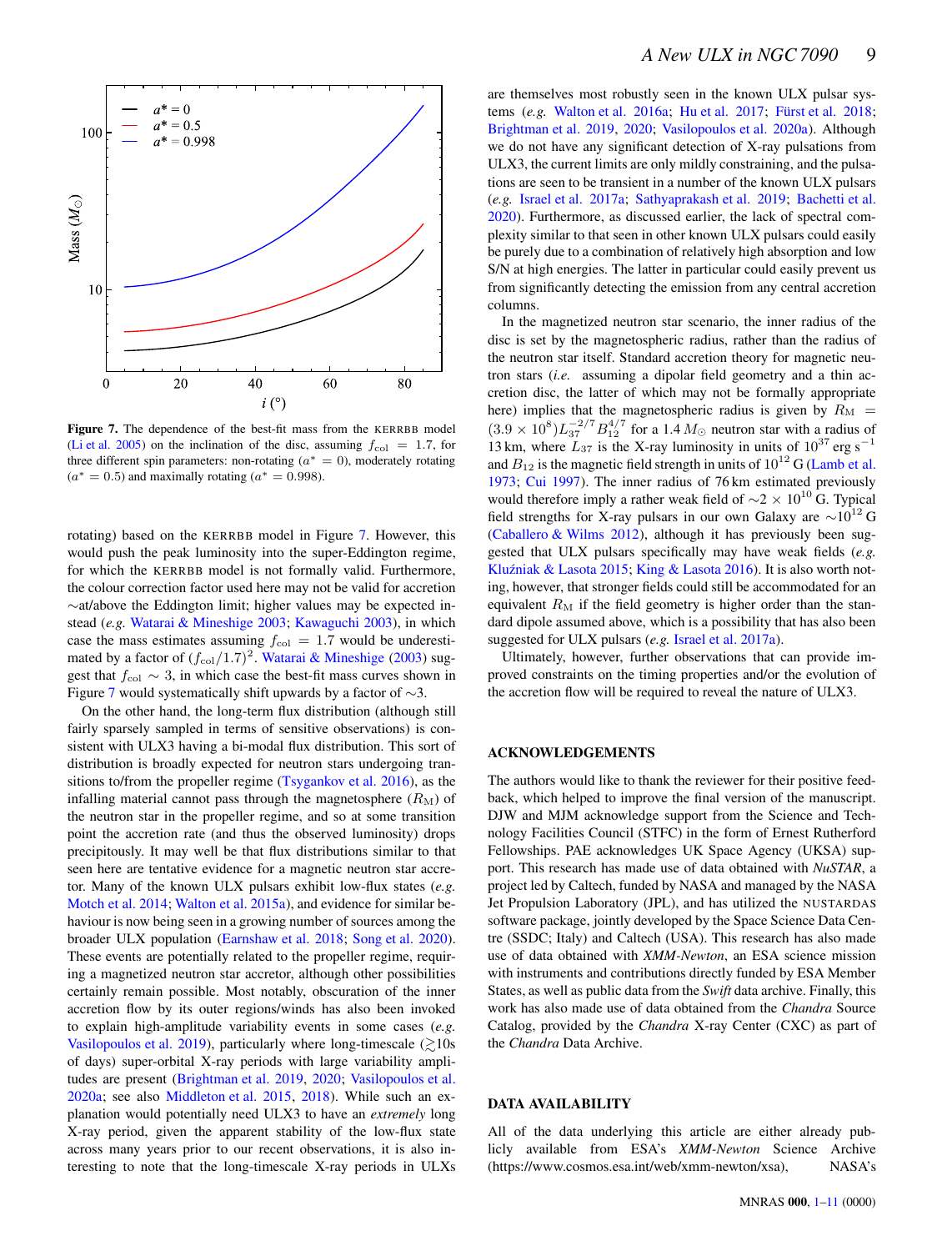<span id="page-8-0"></span>

Figure 7. The dependence of the best-fit mass from the KERRBB model [\(Li et al. 2005](#page-9-79)) on the inclination of the disc, assuming  $f_{\text{col}} = 1.7$ , for three different spin parameters: non-rotating  $(a^* = 0)$ , moderately rotating  $(a^* = 0.5)$  and maximally rotating  $(a^* = 0.998)$ .

rotating) based on the KERRBB model in Figure [7.](#page-8-0) However, this would push the peak luminosity into the super-Eddington regime, for which the KERRBB model is not formally valid. Furthermore, the colour correction factor used here may not be valid for accretion ∼at/above the Eddington limit; higher values may be expected instead (*e.g.* [Watarai & Mineshige 2003](#page-10-31); [Kawaguchi 2003\)](#page-9-86), in which case the mass estimates assuming  $f_{\text{col}} = 1.7$  would be underestimated by a factor of  $(f_{\text{col}}/1.7)^2$ . [Watarai & Mineshige](#page-10-31) [\(2003](#page-10-31)) suggest that  $f_{\text{col}} \sim 3$ , in which case the best-fit mass curves shown in Figure [7](#page-8-0) would systematically shift upwards by a factor of ∼3.

On the other hand, the long-term flux distribution (although still fairly sparsely sampled in terms of sensitive observations) is consistent with ULX3 having a bi-modal flux distribution. This sort of distribution is broadly expected for neutron stars undergoing transitions to/from the propeller regime [\(Tsygankov et al. 2016](#page-10-13)), as the infalling material cannot pass through the magnetosphere  $(R_M)$  of the neutron star in the propeller regime, and so at some transition point the accretion rate (and thus the observed luminosity) drops precipitously. It may well be that flux distributions similar to that seen here are tentative evidence for a magnetic neutron star accretor. Many of the known ULX pulsars exhibit low-flux states (*e.g.* [Motch et al. 2014](#page-9-27); [Walton et al. 2015a\)](#page-10-32), and evidence for similar behaviour is now being seen in a growing number of sources among the broader ULX population [\(Earnshaw et al. 2018](#page-9-44); [Song et al. 2020\)](#page-10-5). These events are potentially related to the propeller regime, requiring a magnetized neutron star accretor, although other possibilities certainly remain possible. Most notably, obscuration of the inner accretion flow by its outer regions/winds has also been invoked to explain high-amplitude variability events in some cases (*e.g.* [Vasilopoulos et al. 2019](#page-10-33)), particularly where long-timescale  $\approx 10$ s of days) super-orbital X-ray periods with large variability amplitudes are present [\(Brightman et al. 2019,](#page-9-87) [2020](#page-9-43); [Vasilopoulos et al.](#page-10-34) [2020a](#page-10-34); see also [Middleton et al. 2015](#page-9-88), [2018](#page-9-89)). While such an explanation would potentially need ULX3 to have an *extremely* long X-ray period, given the apparent stability of the low-flux state across many years prior to our recent observations, it is also interesting to note that the long-timescale X-ray periods in ULXs are themselves most robustly seen in the known ULX pulsar systems (*e.g.* [Walton et al. 2016a](#page-10-35); [Hu et al. 2017](#page-9-90); Fürst et al. 2018; [Brightman et al. 2019](#page-9-87), [2020](#page-9-43); [Vasilopoulos et al. 2020a](#page-10-34)). Although we do not have any significant detection of X-ray pulsations from ULX3, the current limits are only mildly constraining, and the pulsations are seen to be transient in a number of the known ULX pulsars (*e.g.* [Israel et al. 2017a;](#page-9-14) [Sathyaprakash et al. 2019;](#page-9-17) [Bachetti et al.](#page-9-91) [2020](#page-9-91)). Furthermore, as discussed earlier, the lack of spectral complexity similar to that seen in other known ULX pulsars could easily be purely due to a combination of relatively high absorption and low S/N at high energies. The latter in particular could easily prevent us from significantly detecting the emission from any central accretion columns.

In the magnetized neutron star scenario, the inner radius of the disc is set by the magnetospheric radius, rather than the radius of the neutron star itself. Standard accretion theory for magnetic neutron stars (*i.e.* assuming a dipolar field geometry and a thin accretion disc, the latter of which may not be formally appropriate here) implies that the magnetospheric radius is given by  $R_M$  =  $(3.9 \times 10^8) L_{37}^{-2/7} B_{12}^{4/7}$  for a 1.4  $M_{\odot}$  neutron star with a radius of 13 km, where  $L_{37}$  is the X-ray luminosity in units of  $10^{37}$  erg s<sup>-1</sup> and  $B_{12}$  is the magnetic field strength in units of  $10^{12}$  G [\(Lamb et al.](#page-9-92) [1973](#page-9-92); [Cui 1997](#page-9-93)). The inner radius of 76 km estimated previously would therefore imply a rather weak field of  $\sim$ 2 × 10<sup>10</sup> G. Typical field strengths for X-ray pulsars in our own Galaxy are  $\sim 10^{12}$  G [\(Caballero & Wilms 2012](#page-9-94)), although it has previously been suggested that ULX pulsars specifically may have weak fields (*e.g.* Kluźniak & Lasota 2015; [King & Lasota 2016](#page-9-96)). It is also worth noting, however, that stronger fields could still be accommodated for an equivalent  $R_M$  if the field geometry is higher order than the standard dipole assumed above, which is a possibility that has also been suggested for ULX pulsars (*e.g.* [Israel et al. 2017a](#page-9-14)).

Ultimately, however, further observations that can provide improved constraints on the timing properties and/or the evolution of the accretion flow will be required to reveal the nature of ULX3.

## ACKNOWLEDGEMENTS

The authors would like to thank the reviewer for their positive feedback, which helped to improve the final version of the manuscript. DJW and MJM acknowledge support from the Science and Technology Facilities Council (STFC) in the form of Ernest Rutherford Fellowships. PAE acknowledges UK Space Agency (UKSA) support. This research has made use of data obtained with *NuSTAR*, a project led by Caltech, funded by NASA and managed by the NASA Jet Propulsion Laboratory (JPL), and has utilized the NUSTARDAS software package, jointly developed by the Space Science Data Centre (SSDC; Italy) and Caltech (USA). This research has also made use of data obtained with *XMM-Newton*, an ESA science mission with instruments and contributions directly funded by ESA Member States, as well as public data from the *Swift* data archive. Finally, this work has also made use of data obtained from the *Chandra* Source Catalog, provided by the *Chandra* X-ray Center (CXC) as part of the *Chandra* Data Archive.

# DATA AVAILABILITY

All of the data underlying this article are either already publicly available from ESA's *XMM-Newton* Science Archive (https://www.cosmos.esa.int/web/xmm-newton/xsa), NASA's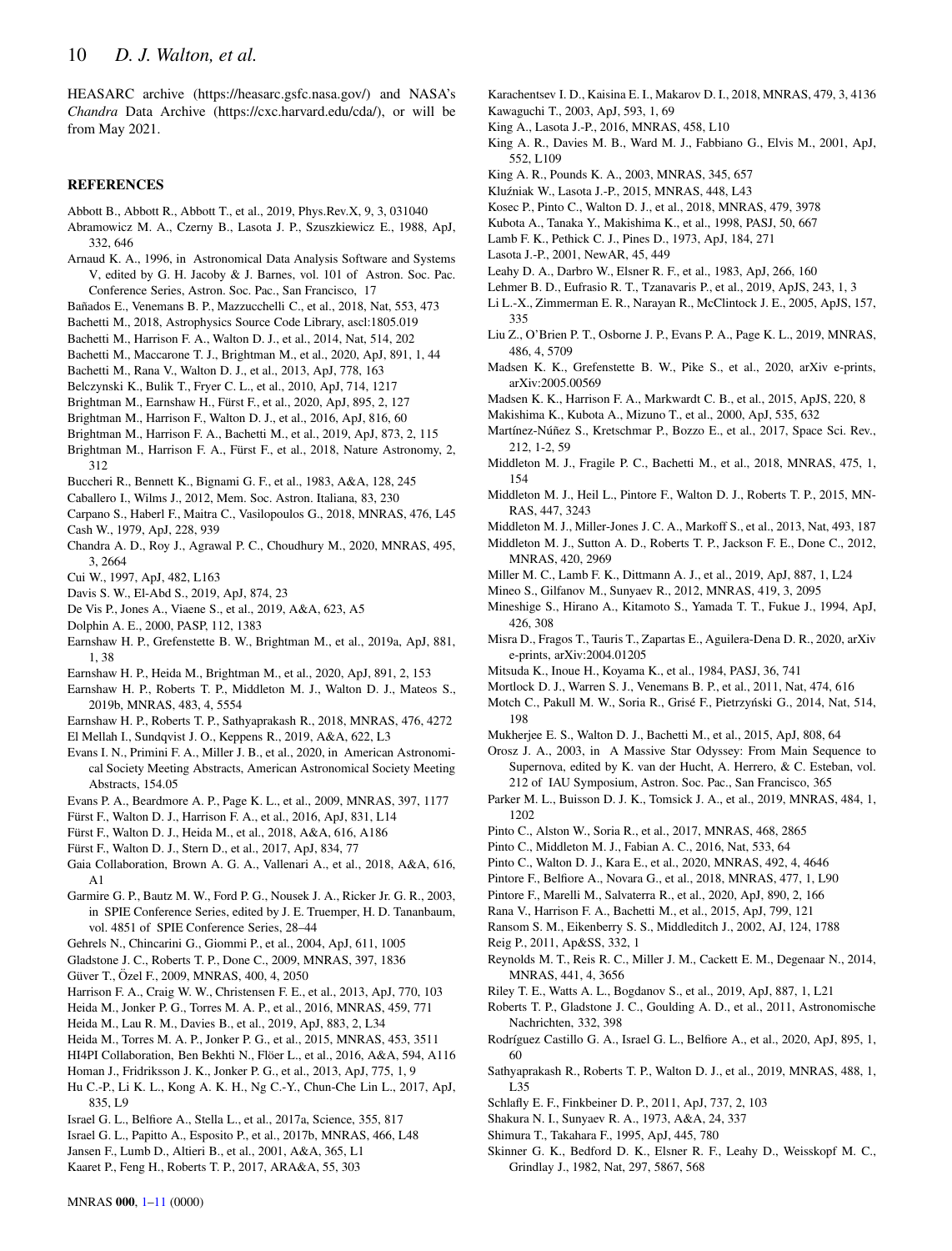HEASARC archive (https://heasarc.gsfc.nasa.gov/) and NASA's *Chandra* Data Archive (https://cxc.harvard.edu/cda/), or will be from May 2021.

## **REFERENCES**

- <span id="page-9-82"></span>Abbott B., Abbott R., Abbott T., et al., 2019, Phys.Rev.X, 9, 3, 031040
- <span id="page-9-7"></span>Abramowicz M. A., Czerny B., Lasota J. P., Szuszkiewicz E., 1988, ApJ, 332, 646
- <span id="page-9-50"></span>Arnaud K. A., 1996, in Astronomical Data Analysis Software and Systems V, edited by G. H. Jacoby & J. Barnes, vol. 101 of Astron. Soc. Pac. Conference Series, Astron. Soc. Pac., San Francisco, 17
- <span id="page-9-24"></span>Ba˜nados E., Venemans B. P., Mazzucchelli C., et al., 2018, Nat, 553, 473
- <span id="page-9-58"></span>Bachetti M., 2018, Astrophysics Source Code Library, ascl:1805.019
- <span id="page-9-12"></span>Bachetti M., Harrison F. A., Walton D. J., et al., 2014, Nat, 514, 202
- <span id="page-9-91"></span>Bachetti M., Maccarone T. J., Brightman M., et al., 2020, ApJ, 891, 1, 44
- <span id="page-9-2"></span>Bachetti M., Rana V., Walton D. J., et al., 2013, ApJ, 778, 163
- <span id="page-9-83"></span>Belczynski K., Bulik T., Fryer C. L., et al., 2010, ApJ, 714, 1217
- <span id="page-9-43"></span>Brightman M., Earnshaw H., Fürst F., et al., 2020, ApJ, 895, 2, 127
- <span id="page-9-57"></span>Brightman M., Harrison F., Walton D. J., et al., 2016, ApJ, 816, 60
- <span id="page-9-87"></span>Brightman M., Harrison F. A., Bachetti M., et al., 2019, ApJ, 873, 2, 115
- <span id="page-9-19"></span>Brightman M., Harrison F. A., Fürst F., et al., 2018, Nature Astronomy, 2, 312
- <span id="page-9-61"></span>Buccheri R., Bennett K., Bignami G. F., et al., 1983, A&A, 128, 245
- <span id="page-9-94"></span>Caballero I., Wilms J., 2012, Mem. Soc. Astron. Italiana, 83, 230
- <span id="page-9-63"></span><span id="page-9-16"></span>Carpano S., Haberl F., Maitra C., Vasilopoulos G., 2018, MNRAS, 476, L45 Cash W., 1979, ApJ, 228, 939
- <span id="page-9-42"></span>Chandra A. D., Roy J., Agrawal P. C., Choudhury M., 2020, MNRAS, 495, 3, 2664
- <span id="page-9-93"></span>Cui W., 1997, ApJ, 482, L163
- <span id="page-9-80"></span>Davis S. W., El-Abd S., 2019, ApJ, 874, 23
- <span id="page-9-84"></span>De Vis P., Jones A., Viaene S., et al., 2019, A&A, 623, A5
- <span id="page-9-66"></span>Dolphin A. E., 2000, PASP, 112, 1383
- <span id="page-9-40"></span>Earnshaw H. P., Grefenstette B. W., Brightman M., et al., 2019a, ApJ, 881, 1, 38
- <span id="page-9-41"></span>Earnshaw H. P., Heida M., Brightman M., et al., 2020, ApJ, 891, 2, 153
- <span id="page-9-48"></span>Earnshaw H. P., Roberts T. P., Middleton M. J., Walton D. J., Mateos S., 2019b, MNRAS, 483, 4, 5554
- <span id="page-9-44"></span>Earnshaw H. P., Roberts T. P., Sathyaprakash R., 2018, MNRAS, 476, 4272
- <span id="page-9-33"></span>El Mellah I., Sundqvist J. O., Keppens R., 2019, A&A, 622, L3
- <span id="page-9-64"></span>Evans I. N., Primini F. A., Miller J. B., et al., 2020, in American Astronomical Society Meeting Abstracts, American Astronomical Society Meeting Abstracts, 154.05
- <span id="page-9-21"></span>Evans P. A., Beardmore A. P., Page K. L., et al., 2009, MNRAS, 397, 1177
- <span id="page-9-13"></span>Fürst F., Walton D. J., Harrison F. A., et al., 2016, ApJ, 831, L14
- <span id="page-9-32"></span>Fürst F., Walton D. J., Heida M., et al., 2018, A&A, 616, A186
- <span id="page-9-56"></span>Fürst F., Walton D. J., Stern D., et al., 2017, ApJ, 834, 77
- <span id="page-9-65"></span>Gaia Collaboration, Brown A. G. A., Vallenari A., et al., 2018, A&A, 616, A1
- <span id="page-9-62"></span>Garmire G. P., Bautz M. W., Ford P. G., Nousek J. A., Ricker Jr. G. R., 2003, in SPIE Conference Series, edited by J. E. Truemper, H. D. Tananbaum, vol. 4851 of SPIE Conference Series, 28–44
- <span id="page-9-45"></span>Gehrels N., Chincarini G., Giommi P., et al., 2004, ApJ, 611, 1005
- <span id="page-9-5"></span>Gladstone J. C., Roberts T. P., Done C., 2009, MNRAS, 397, 1836
- <span id="page-9-68"></span>Güver T., Özel F., 2009, MNRAS, 400, 4, 2050
- <span id="page-9-1"></span>Harrison F. A., Craig W. W., Christensen F. E., et al., 2013, ApJ, 770, 103
- <span id="page-9-29"></span>Heida M., Jonker P. G., Torres M. A. P., et al., 2016, MNRAS, 459, 771
- <span id="page-9-30"></span>Heida M., Lau R. M., Davies B., et al., 2019, ApJ, 883, 2, L34
- <span id="page-9-28"></span>Heida M., Torres M. A. P., Jonker P. G., et al., 2015, MNRAS, 453, 3511
- <span id="page-9-52"></span>HI4PI Collaboration, Ben Bekhti N., Flöer L., et al., 2016, A&A, 594, A116
- <span id="page-9-70"></span>Homan J., Fridriksson J. K., Jonker P. G., et al., 2013, ApJ, 775, 1, 9 Hu C.-P., Li K. L., Kong A. K. H., Ng C.-Y., Chun-Che Lin L., 2017, ApJ,
- <span id="page-9-90"></span>835, L9
- <span id="page-9-14"></span>Israel G. L., Belfiore A., Stella L., et al., 2017a, Science, 355, 817
- <span id="page-9-15"></span>Israel G. L., Papitto A., Esposito P., et al., 2017b, MNRAS, 466, L48
- <span id="page-9-46"></span>Jansen F., Lumb D., Altieri B., et al., 2001, A&A, 365, L1
- <span id="page-9-0"></span>Kaaret P., Feng H., Roberts T. P., 2017, ARA&A, 55, 303
- <span id="page-9-47"></span>Karachentsev I. D., Kaisina E. I., Makarov D. I., 2018, MNRAS, 479, 3, 4136
- <span id="page-9-86"></span>Kawaguchi T., 2003, ApJ, 593, 1, 69
- <span id="page-9-96"></span>King A., Lasota J.-P., 2016, MNRAS, 458, L10
- <span id="page-9-34"></span>King A. R., Davies M. B., Ward M. J., Fabbiano G., Elvis M., 2001, ApJ, 552, L109
- <span id="page-9-55"></span>King A. R., Pounds K. A., 2003, MNRAS, 345, 657
- <span id="page-9-95"></span>Kluźniak W., Lasota J.-P., 2015, MNRAS, 448, L43
- <span id="page-9-11"></span>Kosec P., Pinto C., Walton D. J., et al., 2018, MNRAS, 479, 3978
- <span id="page-9-75"></span>Kubota A., Tanaka Y., Makishima K., et al., 1998, PASJ, 50, 667
- <span id="page-9-92"></span>Lamb F. K., Pethick C. J., Pines D., 1973, ApJ, 184, 271
- <span id="page-9-72"></span>Lasota J.-P., 2001, NewAR, 45, 449
- <span id="page-9-60"></span>Leahy D. A., Darbro W., Elsner R. F., et al., 1983, ApJ, 266, 160
- <span id="page-9-26"></span>Lehmer B. D., Eufrasio R. T., Tzanavaris P., et al., 2019, ApJS, 243, 1, 3
- <span id="page-9-79"></span>Li L.-X., Zimmerman E. R., Narayan R., McClintock J. E., 2005, ApJS, 157, 335
- <span id="page-9-22"></span>Liu Z., O'Brien P. T., Osborne J. P., Evans P. A., Page K. L., 2019, MNRAS, 486, 4, 5709
- <span id="page-9-49"></span>Madsen K. K., Grefenstette B. W., Pike S., et al., 2020, arXiv e-prints, arXiv:2005.00569
- <span id="page-9-51"></span>Madsen K. K., Harrison F. A., Markwardt C. B., et al., 2015, ApJS, 220, 8
- <span id="page-9-78"></span>Makishima K., Kubota A., Mizuno T., et al., 2000, ApJ, 535, 632
- <span id="page-9-31"></span>Martínez-Núñez S., Kretschmar P., Bozzo E., et al., 2017, Space Sci. Rev., 212, 1-2, 59
- <span id="page-9-89"></span>Middleton M. J., Fragile P. C., Bachetti M., et al., 2018, MNRAS, 475, 1, 154
- <span id="page-9-88"></span>Middleton M. J., Heil L., Pintore F., Walton D. J., Roberts T. P., 2015, MN-RAS, 447, 3243
- <span id="page-9-37"></span>Middleton M. J., Miller-Jones J. C. A., Markoff S., et al., 2013, Nat, 493, 187
- <span id="page-9-36"></span>Middleton M. J., Sutton A. D., Roberts T. P., Jackson F. E., Done C., 2012, MNRAS, 420, 2969
- <span id="page-9-77"></span>Miller M. C., Lamb F. K., Dittmann A. J., et al., 2019, ApJ, 887, 1, L24
- <span id="page-9-25"></span>Mineo S., Gilfanov M., Sunyaev R., 2012, MNRAS, 419, 3, 2095
- <span id="page-9-54"></span>Mineshige S., Hirano A., Kitamoto S., Yamada T. T., Fukue J., 1994, ApJ, 426, 308
- <span id="page-9-35"></span>Misra D., Fragos T., Tauris T., Zapartas E., Aguilera-Dena D. R., 2020, arXiv e-prints, arXiv:2004.01205
- <span id="page-9-53"></span>Mitsuda K., Inoue H., Koyama K., et al., 1984, PASJ, 36, 741
- <span id="page-9-23"></span>Mortlock D. J., Warren S. J., Venemans B. P., et al., 2011, Nat, 474, 616
- <span id="page-9-27"></span>Motch C., Pakull M. W., Soria R., Grisé F., Pietrzyński G., 2014, Nat, 514, 198
- <span id="page-9-4"></span>Mukherjee E. S., Walton D. J., Bachetti M., et al., 2015, ApJ, 808, 64
- <span id="page-9-81"></span>Orosz J. A., 2003, in A Massive Star Odyssey: From Main Sequence to Supernova, edited by K. van der Hucht, A. Herrero, & C. Esteban, vol. 212 of IAU Symposium, Astron. Soc. Pac., San Francisco, 365
- <span id="page-9-85"></span>Parker M. L., Buisson D. J. K., Tomsick J. A., et al., 2019, MNRAS, 484, 1, 1202
- <span id="page-9-9"></span>Pinto C., Alston W., Soria R., et al., 2017, MNRAS, 468, 2865
- <span id="page-9-8"></span>Pinto C., Middleton M. J., Fabian A. C., 2016, Nat, 533, 64
- <span id="page-9-10"></span>Pinto C., Walton D. J., Kara E., et al., 2020, MNRAS, 492, 4, 4646
- <span id="page-9-38"></span>Pintore F., Belfiore A., Novara G., et al., 2018, MNRAS, 477, 1, L90
- <span id="page-9-39"></span>Pintore F., Marelli M., Salvaterra R., et al., 2020, ApJ, 890, 2, 166
- <span id="page-9-3"></span>Rana V., Harrison F. A., Bachetti M., et al., 2015, ApJ, 799, 121
- <span id="page-9-59"></span>Ransom S. M., Eikenberry S. S., Middleditch J., 2002, AJ, 124, 1788
- <span id="page-9-73"></span>Reig P., 2011, Ap&SS, 332, 1
- <span id="page-9-71"></span>Reynolds M. T., Reis R. C., Miller J. M., Cackett E. M., Degenaar N., 2014, MNRAS, 441, 4, 3656
- <span id="page-9-76"></span>Riley T. E., Watts A. L., Bogdanov S., et al., 2019, ApJ, 887, 1, L21
- <span id="page-9-69"></span>Roberts T. P., Gladstone J. C., Goulding A. D., et al., 2011, Astronomische Nachrichten, 332, 398
- <span id="page-9-18"></span>Rodríguez Castillo G. A., Israel G. L., Belfiore A., et al., 2020, ApJ, 895, 1, 60
- <span id="page-9-17"></span>Sathyaprakash R., Roberts T. P., Walton D. J., et al., 2019, MNRAS, 488, 1, L35
- <span id="page-9-67"></span>Schlafly E. F., Finkbeiner D. P., 2011, ApJ, 737, 2, 103
- <span id="page-9-6"></span>Shakura N. I., Sunyaev R. A., 1973, A&A, 24, 337
- <span id="page-9-74"></span>Shimura T., Takahara F., 1995, ApJ, 445, 780
- <span id="page-9-20"></span>Skinner G. K., Bedford D. K., Elsner R. F., Leahy D., Weisskopf M. C., Grindlay J., 1982, Nat, 297, 5867, 568